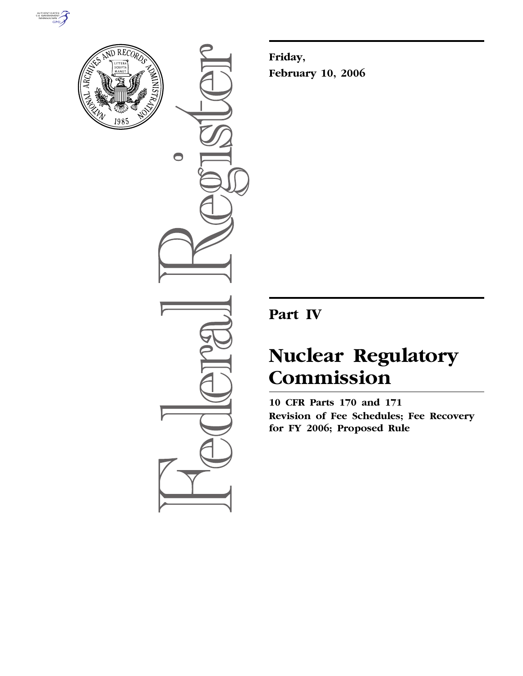



 $\bullet$ 

**Friday, February 10, 2006** 

## **Part IV**

# **Nuclear Regulatory Commission**

**10 CFR Parts 170 and 171 Revision of Fee Schedules; Fee Recovery for FY 2006; Proposed Rule**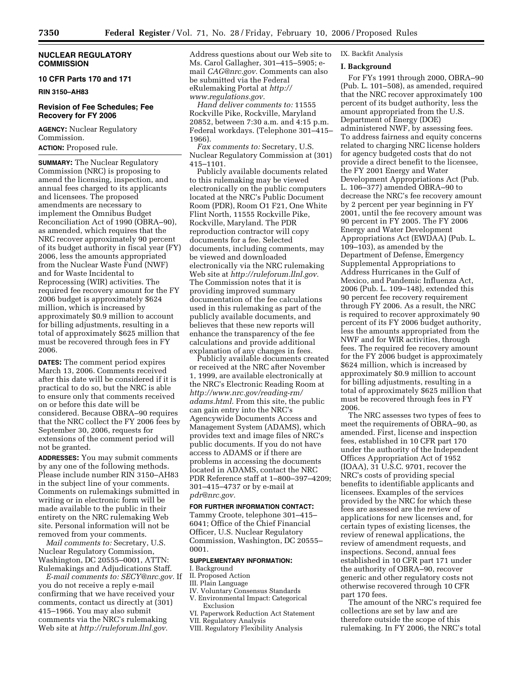#### **NUCLEAR REGULATORY COMMISSION**

#### **10 CFR Parts 170 and 171**

**RIN 3150–AH83** 

#### **Revision of Fee Schedules; Fee Recovery for FY 2006**

**AGENCY:** Nuclear Regulatory Commission.

**ACTION:** Proposed rule.

**SUMMARY:** The Nuclear Regulatory Commission (NRC) is proposing to amend the licensing, inspection, and annual fees charged to its applicants and licensees. The proposed amendments are necessary to implement the Omnibus Budget Reconciliation Act of 1990 (OBRA–90), as amended, which requires that the NRC recover approximately 90 percent of its budget authority in fiscal year (FY) 2006, less the amounts appropriated from the Nuclear Waste Fund (NWF) and for Waste Incidental to Reprocessing (WIR) activities. The required fee recovery amount for the FY 2006 budget is approximately \$624 million, which is increased by approximately \$0.9 million to account for billing adjustments, resulting in a total of approximately \$625 million that must be recovered through fees in FY 2006.

**DATES:** The comment period expires March 13, 2006. Comments received after this date will be considered if it is practical to do so, but the NRC is able to ensure only that comments received on or before this date will be considered. Because OBRA–90 requires that the NRC collect the FY 2006 fees by September 30, 2006, requests for extensions of the comment period will not be granted.

**ADDRESSES:** You may submit comments by any one of the following methods. Please include number RIN 3150–AH83 in the subject line of your comments. Comments on rulemakings submitted in writing or in electronic form will be made available to the public in their entirety on the NRC rulemaking Web site. Personal information will not be removed from your comments.

*Mail comments to:* Secretary, U.S. Nuclear Regulatory Commission, Washington, DC 20555–0001, ATTN: Rulemakings and Adjudications Staff.

*E-mail comments to: SECY@nrc.gov.* If you do not receive a reply e-mail confirming that we have received your comments, contact us directly at (301) 415–1966. You may also submit comments via the NRC's rulemaking Web site at *http://ruleforum.llnl.gov.* 

Address questions about our Web site to Ms. Carol Gallagher, 301–415–5905; email *CAG@nrc.gov.* Comments can also be submitted via the Federal eRulemaking Portal at *http:// www.regulations.gov.* 

*Hand deliver comments to:* 11555 Rockville Pike, Rockville, Maryland 20852, between 7:30 a.m. and 4:15 p.m. Federal workdays. (Telephone 301–415– 1966).

*Fax comments to:* Secretary, U.S. Nuclear Regulatory Commission at (301) 415–1101.

Publicly available documents related to this rulemaking may be viewed electronically on the public computers located at the NRC's Public Document Room (PDR), Room O1 F21, One White Flint North, 11555 Rockville Pike, Rockville, Maryland. The PDR reproduction contractor will copy documents for a fee. Selected documents, including comments, may be viewed and downloaded electronically via the NRC rulemaking Web site at *http://ruleforum.llnl.gov.*  The Commission notes that it is providing improved summary documentation of the fee calculations used in this rulemaking as part of the publicly available documents, and believes that these new reports will enhance the transparency of the fee calculations and provide additional explanation of any changes in fees.

Publicly available documents created or received at the NRC after November 1, 1999, are available electronically at the NRC's Electronic Reading Room at *http://www.nrc.gov/reading-rm/ adams.html.* From this site, the public can gain entry into the NRC's Agencywide Documents Access and Management System (ADAMS), which provides text and image files of NRC's public documents. If you do not have access to ADAMS or if there are problems in accessing the documents located in ADAMS, contact the NRC PDR Reference staff at 1–800–397–4209; 301–415–4737 or by e-mail at *pdr@nrc.gov.* 

#### **FOR FURTHER INFORMATION CONTACT:**

Tammy Croote, telephone 301–415– 6041; Office of the Chief Financial Officer, U.S. Nuclear Regulatory Commission, Washington, DC 20555– 0001.

#### **SUPPLEMENTARY INFORMATION:**

#### I. Background

- II. Proposed Action
- III. Plain Language
- IV. Voluntary Consensus Standards V. Environmental Impact: Categorical
- Exclusion
- VI. Paperwork Reduction Act Statement VII. Regulatory Analysis
- VIII. Regulatory Flexibility Analysis

#### IX. Backfit Analysis

#### **I. Background**

For FYs 1991 through 2000, OBRA–90 (Pub. L. 101–508), as amended, required that the NRC recover approximately 100 percent of its budget authority, less the amount appropriated from the U.S. Department of Energy (DOE) administered NWF, by assessing fees. To address fairness and equity concerns related to charging NRC license holders for agency budgeted costs that do not provide a direct benefit to the licensee, the FY 2001 Energy and Water Development Appropriations Act (Pub. L. 106–377) amended OBRA–90 to decrease the NRC's fee recovery amount by 2 percent per year beginning in FY 2001, until the fee recovery amount was 90 percent in FY 2005. The FY 2006 Energy and Water Development Appropriations Act (EWDAA) (Pub. L. 109–103), as amended by the Department of Defense, Emergency Supplemental Appropriations to Address Hurricanes in the Gulf of Mexico, and Pandemic Influenza Act, 2006 (Pub. L. 109–148), extended this 90 percent fee recovery requirement through FY 2006. As a result, the NRC is required to recover approximately 90 percent of its FY 2006 budget authority, less the amounts appropriated from the NWF and for WIR activities, through fees. The required fee recovery amount for the FY 2006 budget is approximately \$624 million, which is increased by approximately \$0.9 million to account for billing adjustments, resulting in a total of approximately \$625 million that must be recovered through fees in FY 2006.

The NRC assesses two types of fees to meet the requirements of OBRA–90, as amended. First, license and inspection fees, established in 10 CFR part 170 under the authority of the Independent Offices Appropriation Act of 1952 (IOAA), 31 U.S.C. 9701, recover the NRC's costs of providing special benefits to identifiable applicants and licensees. Examples of the services provided by the NRC for which these fees are assessed are the review of applications for new licenses and, for certain types of existing licenses, the review of renewal applications, the review of amendment requests, and inspections. Second, annual fees established in 10 CFR part 171 under the authority of OBRA–90, recover generic and other regulatory costs not otherwise recovered through 10 CFR part 170 fees.

The amount of the NRC's required fee collections are set by law and are therefore outside the scope of this rulemaking. In FY 2006, the NRC's total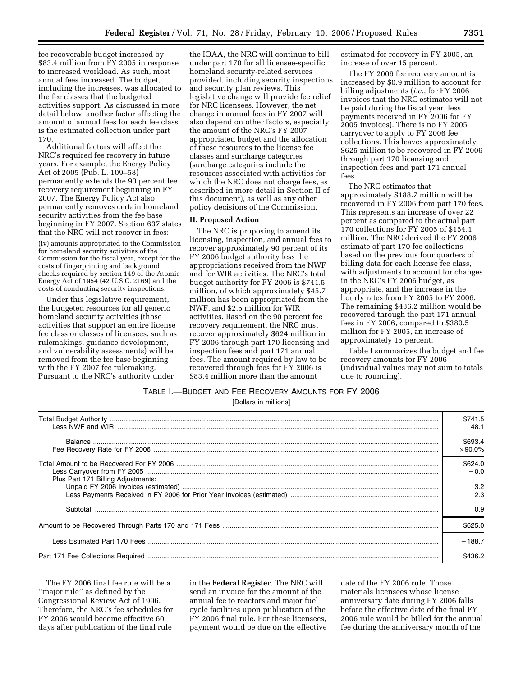fee recoverable budget increased by \$83.4 million from FY 2005 in response to increased workload. As such, most annual fees increased. The budget, including the increases, was allocated to the fee classes that the budgeted activities support. As discussed in more detail below, another factor affecting the amount of annual fees for each fee class is the estimated collection under part 170.

Additional factors will affect the NRC's required fee recovery in future years. For example, the Energy Policy Act of 2005 (Pub. L. 109–58) permanently extends the 90 percent fee recovery requirement beginning in FY 2007. The Energy Policy Act also permanently removes certain homeland security activities from the fee base beginning in FY 2007. Section 637 states that the NRC will not recover in fees:

(iv) amounts appropriated to the Commission for homeland security activities of the Commission for the fiscal year, except for the costs of fingerprinting and background checks required by section 149 of the Atomic Energy Act of 1954 (42 U.S.C. 2169) and the costs of conducting security inspections.

Under this legislative requirement, the budgeted resources for all generic homeland security activities (those activities that support an entire license fee class or classes of licensees, such as rulemakings, guidance development, and vulnerability assessments) will be removed from the fee base beginning with the FY 2007 fee rulemaking. Pursuant to the NRC's authority under

the IOAA, the NRC will continue to bill under part 170 for all licensee-specific homeland security-related services provided, including security inspections and security plan reviews. This legislative change will provide fee relief for NRC licensees. However, the net change in annual fees in FY 2007 will also depend on other factors, especially the amount of the NRC's FY 2007 appropriated budget and the allocation of these resources to the license fee classes and surcharge categories (surcharge categories include the resources associated with activities for which the NRC does not charge fees, as described in more detail in Section II of this document), as well as any other policy decisions of the Commission.

#### **II. Proposed Action**

The NRC is proposing to amend its licensing, inspection, and annual fees to recover approximately 90 percent of its FY 2006 budget authority less the appropriations received from the NWF and for WIR activities. The NRC's total budget authority for FY 2006 is \$741.5 million, of which approximately \$45.7 million has been appropriated from the NWF, and \$2.5 million for WIR activities. Based on the 90 percent fee recovery requirement, the NRC must recover approximately \$624 million in FY 2006 through part 170 licensing and inspection fees and part 171 annual fees. The amount required by law to be recovered through fees for FY 2006 is \$83.4 million more than the amount

estimated for recovery in FY 2005, an increase of over 15 percent.

The FY 2006 fee recovery amount is increased by \$0.9 million to account for billing adjustments (*i.e.*, for FY 2006 invoices that the NRC estimates will not be paid during the fiscal year, less payments received in FY 2006 for FY 2005 invoices). There is no FY 2005 carryover to apply to FY 2006 fee collections. This leaves approximately \$625 million to be recovered in FY 2006 through part 170 licensing and inspection fees and part 171 annual fees.

The NRC estimates that approximately \$188.7 million will be recovered in FY 2006 from part 170 fees. This represents an increase of over 22 percent as compared to the actual part 170 collections for FY 2005 of \$154.1 million. The NRC derived the FY 2006 estimate of part 170 fee collections based on the previous four quarters of billing data for each license fee class, with adjustments to account for changes in the NRC's FY 2006 budget, as appropriate, and the increase in the hourly rates from FY 2005 to FY 2006. The remaining \$436.2 million would be recovered through the part 171 annual fees in FY 2006, compared to \$380.5 million for FY 2005, an increase of approximately 15 percent.

Table I summarizes the budget and fee recovery amounts for FY 2006 (individual values may not sum to totals due to rounding).

#### TABLE I.—BUDGET AND FEE RECOVERY AMOUNTS FOR FY 2006

[Dollars in millions]

|                                    | \$741.5<br>$-48.1$        |
|------------------------------------|---------------------------|
|                                    | \$693.4<br>$\times$ 90.0% |
|                                    | \$624.0<br>$-0.0$         |
| Plus Part 171 Billing Adjustments: | 3.2<br>$-2.3$             |
| Subtotal                           | 0.9                       |
|                                    | \$625.0                   |
|                                    | $-188.7$                  |
|                                    | \$436.2                   |

The FY 2006 final fee rule will be a ''major rule'' as defined by the Congressional Review Act of 1996. Therefore, the NRC's fee schedules for FY 2006 would become effective 60 days after publication of the final rule

in the **Federal Register**. The NRC will send an invoice for the amount of the annual fee to reactors and major fuel cycle facilities upon publication of the FY 2006 final rule. For these licensees, payment would be due on the effective

date of the FY 2006 rule. Those materials licensees whose license anniversary date during FY 2006 falls before the effective date of the final FY 2006 rule would be billed for the annual fee during the anniversary month of the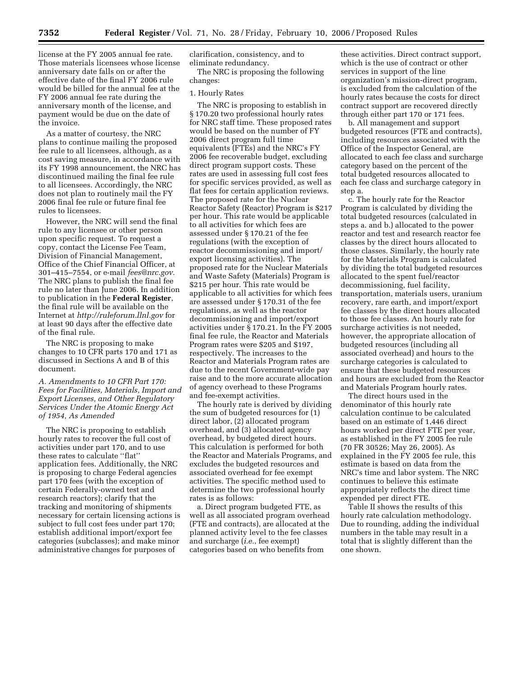license at the FY 2005 annual fee rate. Those materials licensees whose license anniversary date falls on or after the effective date of the final FY 2006 rule would be billed for the annual fee at the FY 2006 annual fee rate during the anniversary month of the license, and payment would be due on the date of the invoice.

As a matter of courtesy, the NRC plans to continue mailing the proposed fee rule to all licensees, although, as a cost saving measure, in accordance with its FY 1998 announcement, the NRC has discontinued mailing the final fee rule to all licensees. Accordingly, the NRC does not plan to routinely mail the FY 2006 final fee rule or future final fee rules to licensees.

However, the NRC will send the final rule to any licensee or other person upon specific request. To request a copy, contact the License Fee Team, Division of Financial Management, Office of the Chief Financial Officer, at 301–415–7554, or e-mail *fees@nrc.gov.*  The NRC plans to publish the final fee rule no later than June 2006. In addition to publication in the **Federal Register**, the final rule will be available on the Internet at *http://ruleforum.llnl.gov* for at least 90 days after the effective date of the final rule.

The NRC is proposing to make changes to 10 CFR parts 170 and 171 as discussed in Sections A and B of this document.

*A. Amendments to 10 CFR Part 170: Fees for Facilities, Materials, Import and Export Licenses, and Other Regulatory Services Under the Atomic Energy Act of 1954, As Amended* 

The NRC is proposing to establish hourly rates to recover the full cost of activities under part 170, and to use these rates to calculate ''flat'' application fees. Additionally, the NRC is proposing to charge Federal agencies part 170 fees (with the exception of certain Federally-owned test and research reactors); clarify that the tracking and monitoring of shipments necessary for certain licensing actions is subject to full cost fees under part 170; establish additional import/export fee categories (subclasses); and make minor administrative changes for purposes of

clarification, consistency, and to eliminate redundancy.

The NRC is proposing the following changes:

#### 1. Hourly Rates

The NRC is proposing to establish in § 170.20 two professional hourly rates for NRC staff time. These proposed rates would be based on the number of FY 2006 direct program full time equivalents (FTEs) and the NRC's FY 2006 fee recoverable budget, excluding direct program support costs. These rates are used in assessing full cost fees for specific services provided, as well as flat fees for certain application reviews. The proposed rate for the Nuclear Reactor Safety (Reactor) Program is \$217 per hour. This rate would be applicable to all activities for which fees are assessed under § 170.21 of the fee regulations (with the exception of reactor decommissioning and import/ export licensing activities). The proposed rate for the Nuclear Materials and Waste Safety (Materials) Program is \$215 per hour. This rate would be applicable to all activities for which fees are assessed under § 170.31 of the fee regulations, as well as the reactor decommissioning and import/export activities under § 170.21. In the FY 2005 final fee rule, the Reactor and Materials Program rates were \$205 and \$197, respectively. The increases to the Reactor and Materials Program rates are due to the recent Government-wide pay raise and to the more accurate allocation of agency overhead to these Programs and fee-exempt activities.

The hourly rate is derived by dividing the sum of budgeted resources for (1) direct labor, (2) allocated program overhead, and (3) allocated agency overhead, by budgeted direct hours. This calculation is performed for both the Reactor and Materials Programs, and excludes the budgeted resources and associated overhead for fee exempt activities. The specific method used to determine the two professional hourly rates is as follows:

a. Direct program budgeted FTE, as well as all associated program overhead (FTE and contracts), are allocated at the planned activity level to the fee classes and surcharge (*i.e.*, fee exempt) categories based on who benefits from

these activities. Direct contract support, which is the use of contract or other services in support of the line organization's mission-direct program, is excluded from the calculation of the hourly rates because the costs for direct contract support are recovered directly through either part 170 or 171 fees.

b. All management and support budgeted resources (FTE and contracts), including resources associated with the Office of the Inspector General, are allocated to each fee class and surcharge category based on the percent of the total budgeted resources allocated to each fee class and surcharge category in step a.

c. The hourly rate for the Reactor Program is calculated by dividing the total budgeted resources (calculated in steps a. and b.) allocated to the power reactor and test and research reactor fee classes by the direct hours allocated to those classes. Similarly, the hourly rate for the Materials Program is calculated by dividing the total budgeted resources allocated to the spent fuel/reactor decommissioning, fuel facility, transportation, materials users, uranium recovery, rare earth, and import/export fee classes by the direct hours allocated to those fee classes. An hourly rate for surcharge activities is not needed, however, the appropriate allocation of budgeted resources (including all associated overhead) and hours to the surcharge categories is calculated to ensure that these budgeted resources and hours are excluded from the Reactor and Materials Program hourly rates.

The direct hours used in the denominator of this hourly rate calculation continue to be calculated based on an estimate of 1,446 direct hours worked per direct FTE per year, as established in the FY 2005 fee rule (70 FR 30526; May 26, 2005). As explained in the FY 2005 fee rule, this estimate is based on data from the NRC's time and labor system. The NRC continues to believe this estimate appropriately reflects the direct time expended per direct FTE.

Table II shows the results of this hourly rate calculation methodology. Due to rounding, adding the individual numbers in the table may result in a total that is slightly different than the one shown.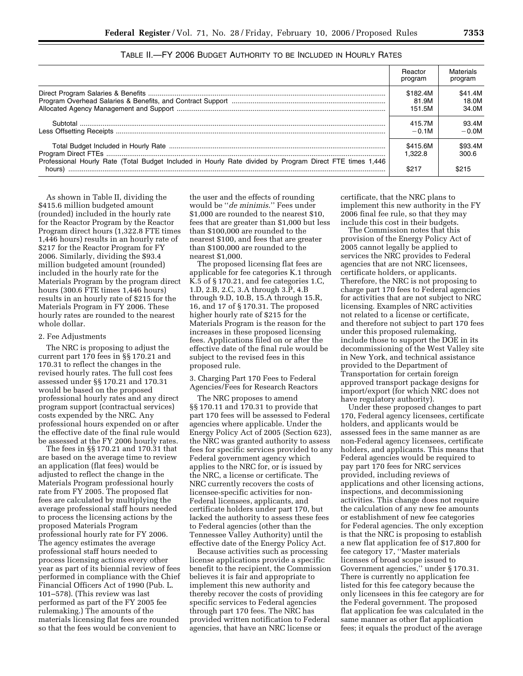|                                                                                                          | Reactor<br>program          | Materials<br>program      |
|----------------------------------------------------------------------------------------------------------|-----------------------------|---------------------------|
|                                                                                                          | \$182.4M<br>81.9M<br>151.5M | \$41.4M<br>18.0M<br>34.0M |
|                                                                                                          | 415.7M<br>$-0.1M$           | 93.4M<br>$-0.0M$          |
| Professional Hourly Rate (Total Budget Included in Hourly Rate divided by Program Direct FTE times 1,446 | \$415.6M<br>1.322.8         | \$93.4M<br>300.6          |
| hours)                                                                                                   | \$217                       |                           |

TABLE II.—FY 2006 BUDGET AUTHORITY TO BE INCLUDED IN HOURLY RATES

As shown in Table II, dividing the \$415.6 million budgeted amount (rounded) included in the hourly rate for the Reactor Program by the Reactor Program direct hours (1,322.8 FTE times 1,446 hours) results in an hourly rate of \$217 for the Reactor Program for FY 2006. Similarly, dividing the \$93.4 million budgeted amount (rounded) included in the hourly rate for the Materials Program by the program direct hours (300.6 FTE times 1,446 hours) results in an hourly rate of \$215 for the Materials Program in FY 2006. These hourly rates are rounded to the nearest whole dollar.

#### 2. Fee Adjustments

The NRC is proposing to adjust the current part 170 fees in §§ 170.21 and 170.31 to reflect the changes in the revised hourly rates. The full cost fees assessed under §§ 170.21 and 170.31 would be based on the proposed professional hourly rates and any direct program support (contractual services) costs expended by the NRC. Any professional hours expended on or after the effective date of the final rule would be assessed at the FY 2006 hourly rates.

The fees in §§ 170.21 and 170.31 that are based on the average time to review an application (flat fees) would be adjusted to reflect the change in the Materials Program professional hourly rate from FY 2005. The proposed flat fees are calculated by multiplying the average professional staff hours needed to process the licensing actions by the proposed Materials Program professional hourly rate for FY 2006. The agency estimates the average professional staff hours needed to process licensing actions every other year as part of its biennial review of fees performed in compliance with the Chief Financial Officers Act of 1990 (Pub. L. 101–578). (This review was last performed as part of the FY 2005 fee rulemaking.) The amounts of the materials licensing flat fees are rounded so that the fees would be convenient to

the user and the effects of rounding would be ''*de minimis*.'' Fees under \$1,000 are rounded to the nearest \$10, fees that are greater than \$1,000 but less than \$100,000 are rounded to the nearest \$100, and fees that are greater than \$100,000 are rounded to the nearest \$1,000.

The proposed licensing flat fees are applicable for fee categories K.1 through K.5 of § 170.21, and fee categories 1.C, 1.D, 2.B, 2.C, 3.A through 3.P, 4.B through 9.D, 10.B, 15.A through 15.R, 16, and 17 of § 170.31. The proposed higher hourly rate of \$215 for the Materials Program is the reason for the increases in these proposed licensing fees. Applications filed on or after the effective date of the final rule would be subject to the revised fees in this proposed rule.

#### 3. Charging Part 170 Fees to Federal Agencies/Fees for Research Reactors

The NRC proposes to amend §§ 170.11 and 170.31 to provide that part 170 fees will be assessed to Federal agencies where applicable. Under the Energy Policy Act of 2005 (Section 623), the NRC was granted authority to assess fees for specific services provided to any Federal government agency which applies to the NRC for, or is issued by the NRC, a license or certificate. The NRC currently recovers the costs of licensee-specific activities for non-Federal licensees, applicants, and certificate holders under part 170, but lacked the authority to assess these fees to Federal agencies (other than the Tennessee Valley Authority) until the effective date of the Energy Policy Act.

Because activities such as processing license applications provide a specific benefit to the recipient, the Commission believes it is fair and appropriate to implement this new authority and thereby recover the costs of providing specific services to Federal agencies through part 170 fees. The NRC has provided written notification to Federal agencies, that have an NRC license or

certificate, that the NRC plans to implement this new authority in the FY 2006 final fee rule, so that they may include this cost in their budgets.

The Commission notes that this provision of the Energy Policy Act of 2005 cannot legally be applied to services the NRC provides to Federal agencies that are not NRC licensees, certificate holders, or applicants. Therefore, the NRC is not proposing to charge part 170 fees to Federal agencies for activities that are not subject to NRC licensing. Examples of NRC activities not related to a license or certificate, and therefore not subject to part 170 fees under this proposed rulemaking, include those to support the DOE in its decommissioning of the West Valley site in New York, and technical assistance provided to the Department of Transportation for certain foreign approved transport package designs for import/export (for which NRC does not have regulatory authority).

Under these proposed changes to part 170, Federal agency licensees, certificate holders, and applicants would be assessed fees in the same manner as are non-Federal agency licensees, certificate holders, and applicants. This means that Federal agencies would be required to pay part 170 fees for NRC services provided, including reviews of applications and other licensing actions, inspections, and decommissioning activities. This change does not require the calculation of any new fee amounts or establishment of new fee categories for Federal agencies. The only exception is that the NRC is proposing to establish a new flat application fee of \$17,800 for fee category 17, ''Master materials licenses of broad scope issued to Government agencies,'' under § 170.31. There is currently no application fee listed for this fee category because the only licensees in this fee category are for the Federal government. The proposed flat application fee was calculated in the same manner as other flat application fees; it equals the product of the average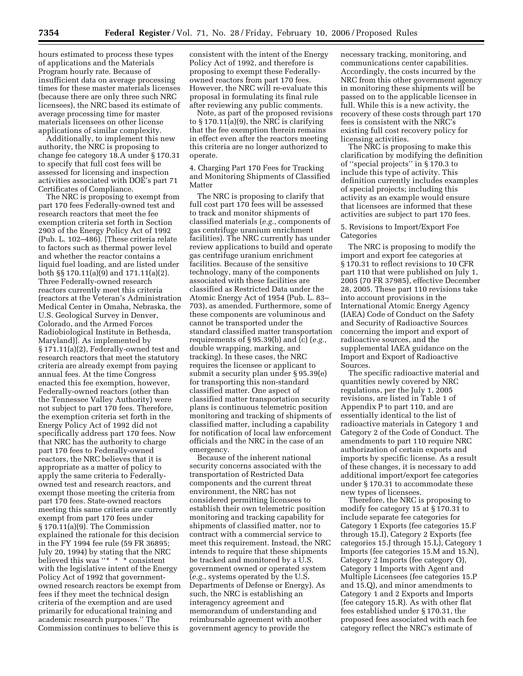hours estimated to process these types of applications and the Materials Program hourly rate. Because of insufficient data on average processing times for these master materials licenses (because there are only three such NRC licensees), the NRC based its estimate of average processing time for master materials licensees on other license applications of similar complexity.

Additionally, to implement this new authority, the NRC is proposing to change fee category 18.A under § 170.31 to specify that full cost fees will be assessed for licensing and inspection activities associated with DOE's part 71 Certificates of Compliance.

The NRC is proposing to exempt from part 170 fees Federally-owned test and research reactors that meet the fee exemption criteria set forth in Section 2903 of the Energy Policy Act of 1992 (Pub. L. 102–486). [These criteria relate to factors such as thermal power level and whether the reactor contains a liquid fuel loading, and are listed under both §§ 170.11(a)(9) and 171.11(a)(2). Three Federally-owned research reactors currently meet this criteria (reactors at the Veteran's Administration Medical Center in Omaha, Nebraska, the U.S. Geological Survey in Denver, Colorado, and the Armed Forces Radiobiological Institute in Bethesda, Maryland)]. As implemented by § 171.11(a)(2), Federally-owned test and research reactors that meet the statutory criteria are already exempt from paying annual fees. At the time Congress enacted this fee exemption, however, Federally-owned reactors (other than the Tennessee Valley Authority) were not subject to part 170 fees. Therefore, the exemption criteria set forth in the Energy Policy Act of 1992 did not specifically address part 170 fees. Now that NRC has the authority to charge part 170 fees to Federally-owned reactors, the NRC believes that it is appropriate as a matter of policy to apply the same criteria to Federallyowned test and research reactors, and exempt those meeting the criteria from part 170 fees. State-owned reactors meeting this same criteria are currently exempt from part 170 fees under § 170.11(a)(9). The Commission explained the rationale for this decision in the FY 1994 fee rule (59 FR 36895; July 20, 1994) by stating that the NRC believed this was ''\* \* \* consistent with the legislative intent of the Energy Policy Act of 1992 that governmentowned research reactors be exempt from fees if they meet the technical design criteria of the exemption and are used primarily for educational training and academic research purposes.'' The Commission continues to believe this is

consistent with the intent of the Energy Policy Act of 1992, and therefore is proposing to exempt these Federallyowned reactors from part 170 fees. However, the NRC will re-evaluate this proposal in formulating its final rule after reviewing any public comments.

Note, as part of the proposed revisions to § 170.11(a)(9), the NRC is clarifying that the fee exemption therein remains in effect even after the reactors meeting this criteria are no longer authorized to operate.

4. Charging Part 170 Fees for Tracking and Monitoring Shipments of Classified Matter

The NRC is proposing to clarify that full cost part 170 fees will be assessed to track and monitor shipments of classified materials (*e.g.*, components of gas centrifuge uranium enrichment facilities). The NRC currently has under review applications to build and operate gas centrifuge uranium enrichment facilities. Because of the sensitive technology, many of the components associated with these facilities are classified as Restricted Data under the Atomic Energy Act of 1954 (Pub. L. 83– 703), as amended. Furthermore, some of these components are voluminous and cannot be transported under the standard classified matter transportation requirements of § 95.39(b) and (c) (*e.g.*, double wrapping, marking, and tracking). In these cases, the NRC requires the licensee or applicant to submit a security plan under § 95.39(e) for transporting this non-standard classified matter. One aspect of classified matter transportation security plans is continuous telemetric position monitoring and tracking of shipments of classified matter, including a capability for notification of local law enforcement officials and the NRC in the case of an emergency.

Because of the inherent national security concerns associated with the transportation of Restricted Data components and the current threat environment, the NRC has not considered permitting licensees to establish their own telemetric position monitoring and tracking capability for shipments of classified matter, nor to contract with a commercial service to meet this requirement. Instead, the NRC intends to require that these shipments be tracked and monitored by a U.S. government owned or operated system (*e.g.*, systems operated by the U.S. Departments of Defense or Energy). As such, the NRC is establishing an interagency agreement and memorandum of understanding and reimbursable agreement with another government agency to provide the

necessary tracking, monitoring, and communications center capabilities. Accordingly, the costs incurred by the NRC from this other government agency in monitoring these shipments will be passed on to the applicable licensee in full. While this is a new activity, the recovery of these costs through part 170 fees is consistent with the NRC's existing full cost recovery policy for licensing activities.

The NRC is proposing to make this clarification by modifying the definition of ''special projects'' in § 170.3 to include this type of activity. This definition currently includes examples of special projects; including this activity as an example would ensure that licensees are informed that these activities are subject to part 170 fees.

#### 5. Revisions to Import/Export Fee Categories

The NRC is proposing to modify the import and export fee categories at § 170.31 to reflect revisions to 10 CFR part 110 that were published on July 1, 2005 (70 FR 37985), effective December 28, 2005. These part 110 revisions take into account provisions in the International Atomic Energy Agency (IAEA) Code of Conduct on the Safety and Security of Radioactive Sources concerning the import and export of radioactive sources, and the supplemental IAEA guidance on the Import and Export of Radioactive Sources.

The specific radioactive material and quantities newly covered by NRC regulations, per the July 1, 2005 revisions, are listed in Table 1 of Appendix P to part 110, and are essentially identical to the list of radioactive materials in Category 1 and Category 2 of the Code of Conduct. The amendments to part 110 require NRC authorization of certain exports and imports by specific license. As a result of these changes, it is necessary to add additional import/export fee categories under § 170.31 to accommodate these new types of licensees.

Therefore, the NRC is proposing to modify fee category 15 at § 170.31 to include separate fee categories for Category 1 Exports (fee categories 15.F through 15.I), Category 2 Exports (fee categories 15.J through 15.L), Category 1 Imports (fee categories 15.M and 15.N), Category 2 Imports (fee category O), Category 1 Imports with Agent and Multiple Licensees (fee categories 15.P and 15.Q), and minor amendments to Category 1 and 2 Exports and Imports (fee category 15.R). As with other flat fees established under § 170.31, the proposed fees associated with each fee category reflect the NRC's estimate of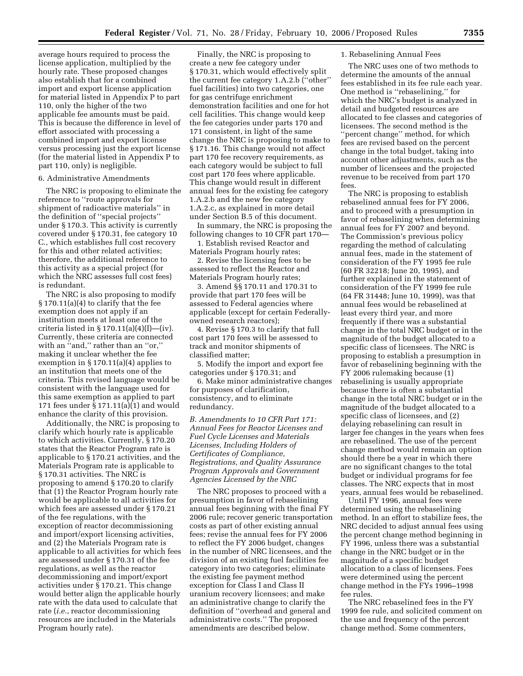average hours required to process the license application, multiplied by the hourly rate. These proposed changes also establish that for a combined import and export license application for material listed in Appendix P to part 110, only the higher of the two applicable fee amounts must be paid. This is because the difference in level of effort associated with processing a combined import and export license versus processing just the export license (for the material listed in Appendix P to part 110, only) is negligible.

#### 6. Administrative Amendments

The NRC is proposing to eliminate the reference to ''route approvals for shipment of radioactive materials'' in the definition of ''special projects'' under § 170.3. This activity is currently covered under § 170.31, fee category 10 C., which establishes full cost recovery for this and other related activities; therefore, the additional reference to this activity as a special project (for which the NRC assesses full cost fees) is redundant.

The NRC is also proposing to modify  $\S 170.11(a)(4)$  to clarify that the fee exemption does not apply if an institution meets at least one of the criteria listed in  $\S 170.11(a)(4)(I)$ —(iv). Currently, these criteria are connected with an "and," rather than an "or," making it unclear whether the fee exemption in § 170.11(a)(4) applies to an institution that meets one of the criteria. This revised language would be consistent with the language used for this same exemption as applied to part 171 fees under § 171.11(a)(1) and would enhance the clarity of this provision.

Additionally, the NRC is proposing to clarify which hourly rate is applicable to which activities. Currently, § 170.20 states that the Reactor Program rate is applicable to § 170.21 activities, and the Materials Program rate is applicable to § 170.31 activities. The NRC is proposing to amend § 170.20 to clarify that (1) the Reactor Program hourly rate would be applicable to all activities for which fees are assessed under § 170.21 of the fee regulations, with the exception of reactor decommissioning and import/export licensing activities, and (2) the Materials Program rate is applicable to all activities for which fees are assessed under § 170.31 of the fee regulations, as well as the reactor decommissioning and import/export activities under § 170.21. This change would better align the applicable hourly rate with the data used to calculate that rate (*i.e.*, reactor decommissioning resources are included in the Materials Program hourly rate).

Finally, the NRC is proposing to create a new fee category under § 170.31, which would effectively split the current fee category 1.A.2.b (''other'' fuel facilities) into two categories, one for gas centrifuge enrichment demonstration facilities and one for hot cell facilities. This change would keep the fee categories under parts 170 and 171 consistent, in light of the same change the NRC is proposing to make to § 171.16. This change would not affect part 170 fee recovery requirements, as each category would be subject to full cost part 170 fees where applicable. This change would result in different annual fees for the existing fee category 1.A.2.b and the new fee category 1.A.2.c, as explained in more detail under Section B.5 of this document.

In summary, the NRC is proposing the following changes to 10 CFR part 170—

1. Establish revised Reactor and Materials Program hourly rates;

2. Revise the licensing fees to be assessed to reflect the Reactor and Materials Program hourly rates;

3. Amend §§ 170.11 and 170.31 to provide that part 170 fees will be assessed to Federal agencies where applicable (except for certain Federallyowned research reactors);

4. Revise § 170.3 to clarify that full cost part 170 fees will be assessed to track and monitor shipments of classified matter;

5. Modify the import and export fee categories under § 170.31; and

6. Make minor administrative changes for purposes of clarification, consistency, and to eliminate redundancy.

#### *B. Amendments to 10 CFR Part 171: Annual Fees for Reactor Licenses and Fuel Cycle Licenses and Materials Licenses, Including Holders of Certificates of Compliance, Registrations, and Quality Assurance Program Approvals and Government Agencies Licensed by the NRC*

The NRC proposes to proceed with a presumption in favor of rebaselining annual fees beginning with the final FY 2006 rule; recover generic transportation costs as part of other existing annual fees; revise the annual fees for FY 2006 to reflect the FY 2006 budget, changes in the number of NRC licensees, and the division of an existing fuel facilities fee category into two categories; eliminate the existing fee payment method exception for Class I and Class II uranium recovery licensees; and make an administrative change to clarify the definition of ''overhead and general and administrative costs.'' The proposed amendments are described below.

#### 1. Rebaselining Annual Fees

The NRC uses one of two methods to determine the amounts of the annual fees established in its fee rule each year. One method is ''rebaselining,'' for which the NRC's budget is analyzed in detail and budgeted resources are allocated to fee classes and categories of licensees. The second method is the ''percent change'' method, for which fees are revised based on the percent change in the total budget, taking into account other adjustments, such as the number of licensees and the projected revenue to be received from part 170 fees.

The NRC is proposing to establish rebaselined annual fees for FY 2006, and to proceed with a presumption in favor of rebaselining when determining annual fees for FY 2007 and beyond. The Commission's previous policy regarding the method of calculating annual fees, made in the statement of consideration of the FY 1995 fee rule (60 FR 32218; June 20, 1995), and further explained in the statement of consideration of the FY 1999 fee rule (64 FR 31448; June 10, 1999), was that annual fees would be rebaselined at least every third year, and more frequently if there was a substantial change in the total NRC budget or in the magnitude of the budget allocated to a specific class of licensees. The NRC is proposing to establish a presumption in favor of rebaselining beginning with the FY 2006 rulemaking because (1) rebaselining is usually appropriate because there is often a substantial change in the total NRC budget or in the magnitude of the budget allocated to a specific class of licensees, and (2) delaying rebaselining can result in larger fee changes in the years when fees are rebaselined. The use of the percent change method would remain an option should there be a year in which there are no significant changes to the total budget or individual programs for fee classes. The NRC expects that in most years, annual fees would be rebaselined.

Until FY 1996, annual fees were determined using the rebaselining method. In an effort to stabilize fees, the NRC decided to adjust annual fees using the percent change method beginning in FY 1996, unless there was a substantial change in the NRC budget or in the magnitude of a specific budget allocation to a class of licensees. Fees were determined using the percent change method in the FYs 1996–1998 fee rules.

The NRC rebaselined fees in the FY 1999 fee rule, and solicited comment on the use and frequency of the percent change method. Some commenters,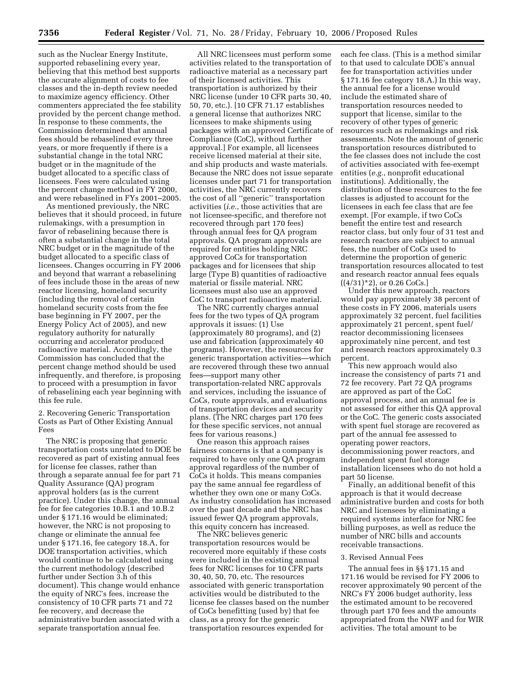such as the Nuclear Energy Institute, supported rebaselining every year, believing that this method best supports the accurate alignment of costs to fee classes and the in-depth review needed to maximize agency efficiency. Other commenters appreciated the fee stability provided by the percent change method. In response to these comments, the Commission determined that annual fees should be rebaselined every three years, or more frequently if there is a substantial change in the total NRC budget or in the magnitude of the budget allocated to a specific class of licensees. Fees were calculated using the percent change method in FY 2000, and were rebaselined in FYs 2001–2005.

As mentioned previously, the NRC believes that it should proceed, in future rulemakings, with a presumption in favor of rebaselining because there is often a substantial change in the total NRC budget or in the magnitude of the budget allocated to a specific class of licensees. Changes occurring in FY 2006 and beyond that warrant a rebaselining of fees include those in the areas of new reactor licensing, homeland security (including the removal of certain homeland security costs from the fee base beginning in FY 2007, per the Energy Policy Act of 2005), and new regulatory authority for naturally occurring and accelerator produced radioactive material. Accordingly, the Commission has concluded that the percent change method should be used infrequently, and therefore, is proposing to proceed with a presumption in favor of rebaselining each year beginning with this fee rule.

2. Recovering Generic Transportation Costs as Part of Other Existing Annual Fees

The NRC is proposing that generic transportation costs unrelated to DOE be recovered as part of existing annual fees for license fee classes, rather than through a separate annual fee for part 71 Quality Assurance (QA) program approval holders (as is the current practice). Under this change, the annual fee for fee categories 10.B.1 and 10.B.2 under § 171.16 would be eliminated; however, the NRC is not proposing to change or eliminate the annual fee under § 171.16, fee category 18.A, for DOE transportation activities, which would continue to be calculated using the current methodology (described further under Section 3.h of this document). This change would enhance the equity of NRC's fees, increase the consistency of 10 CFR parts 71 and 72 fee recovery, and decrease the administrative burden associated with a separate transportation annual fee.

All NRC licensees must perform some activities related to the transportation of radioactive material as a necessary part of their licensed activities. This transportation is authorized by their NRC license (under 10 CFR parts 30, 40, 50, 70, etc.). [10 CFR 71.17 establishes a general license that authorizes NRC licensees to make shipments using packages with an approved Certificate of Compliance (CoC), without further approval.] For example, all licensees receive licensed material at their site, and ship products and waste materials. Because the NRC does not issue separate licenses under part 71 for transportation activities, the NRC currently recovers the cost of all ''generic'' transportation activities (*i.e.*, those activities that are not licensee-specific, and therefore not recovered through part 170 fees) through annual fees for QA program approvals. QA program approvals are required for entities holding NRC approved CoCs for transportation packages and for licensees that ship large (Type B) quantities of radioactive material or fissile material. NRC licensees must also use an approved CoC to transport radioactive material.

The NRC currently charges annual fees for the two types of QA program approvals it issues: (1) Use (approximately 80 programs), and (2) use and fabrication (approximately 40 programs). However, the resources for generic transportation activities—which are recovered through these two annual fees—support many other transportation-related NRC approvals and services, including the issuance of CoCs, route approvals, and evaluations of transportation devices and security plans. (The NRC charges part 170 fees for these specific services, not annual fees for various reasons.)

One reason this approach raises fairness concerns is that a company is required to have only one QA program approval regardless of the number of CoCs it holds. This means companies pay the same annual fee regardless of whether they own one or many CoCs. As industry consolidation has increased over the past decade and the NRC has issued fewer QA program approvals, this equity concern has increased.

The NRC believes generic transportation resources would be recovered more equitably if these costs were included in the existing annual fees for NRC licenses for 10 CFR parts 30, 40, 50, 70, etc. The resources associated with generic transportation activities would be distributed to the license fee classes based on the number of CoCs benefitting (used by) that fee class, as a proxy for the generic transportation resources expended for

each fee class. (This is a method similar to that used to calculate DOE's annual fee for transportation activities under § 171.16 fee category 18.A.) In this way, the annual fee for a license would include the estimated share of transportation resources needed to support that license, similar to the recovery of other types of generic resources such as rulemakings and risk assessments. Note the amount of generic transportation resources distributed to the fee classes does not include the cost of activities associated with fee-exempt entities (*e.g.*, nonprofit educational institutions). Additionally, the distribution of these resources to the fee classes is adjusted to account for the licensees in each fee class that are fee exempt. [For example, if two CoCs benefit the entire test and research reactor class, but only four of 31 test and research reactors are subject to annual fees, the number of CoCs used to determine the proportion of generic transportation resources allocated to test and research reactor annual fees equals  $((4/31)^*2)$ , or 0.26 CoCs.

Under this new approach, reactors would pay approximately 38 percent of these costs in FY 2006, materials users approximately 32 percent, fuel facilities approximately 21 percent, spent fuel/ reactor decommissioning licensees approximately nine percent, and test and research reactors approximately 0.3 percent.

This new approach would also increase the consistency of parts 71 and 72 fee recovery. Part 72 QA programs are approved as part of the CoC approval process, and an annual fee is not assessed for either this QA approval or the CoC. The generic costs associated with spent fuel storage are recovered as part of the annual fee assessed to operating power reactors, decommissioning power reactors, and independent spent fuel storage installation licensees who do not hold a part 50 license.

Finally, an additional benefit of this approach is that it would decrease administrative burden and costs for both NRC and licensees by eliminating a required systems interface for NRC fee billing purposes, as well as reduce the number of NRC bills and accounts receivable transactions.

#### 3. Revised Annual Fees

The annual fees in §§ 171.15 and 171.16 would be revised for FY 2006 to recover approximately 90 percent of the NRC's FY 2006 budget authority, less the estimated amount to be recovered through part 170 fees and the amounts appropriated from the NWF and for WIR activities. The total amount to be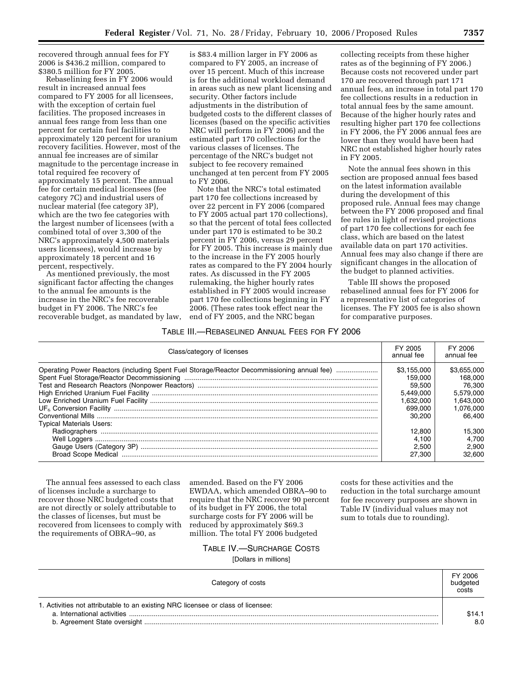recovered through annual fees for FY 2006 is \$436.2 million, compared to \$380.5 million for FY 2005.

Rebaselining fees in FY 2006 would result in increased annual fees compared to FY 2005 for all licensees, with the exception of certain fuel facilities. The proposed increases in annual fees range from less than one percent for certain fuel facilities to approximately 120 percent for uranium recovery facilities. However, most of the annual fee increases are of similar magnitude to the percentage increase in total required fee recovery of approximately 15 percent. The annual fee for certain medical licensees (fee category 7C) and industrial users of nuclear material (fee category 3P), which are the two fee categories with the largest number of licensees (with a combined total of over 3,300 of the NRC's approximately 4,500 materials users licensees), would increase by approximately 18 percent and 16 percent, respectively.

As mentioned previously, the most significant factor affecting the changes to the annual fee amounts is the increase in the NRC's fee recoverable budget in FY 2006. The NRC's fee recoverable budget, as mandated by law,

is \$83.4 million larger in FY 2006 as compared to FY 2005, an increase of over 15 percent. Much of this increase is for the additional workload demand in areas such as new plant licensing and security. Other factors include adjustments in the distribution of budgeted costs to the different classes of licenses (based on the specific activities NRC will perform in FY 2006) and the estimated part 170 collections for the various classes of licenses. The percentage of the NRC's budget not subject to fee recovery remained unchanged at ten percent from FY 2005 to FY 2006.

Note that the NRC's total estimated part 170 fee collections increased by over 22 percent in FY 2006 (compared to FY 2005 actual part 170 collections), so that the percent of total fees collected under part 170 is estimated to be 30.2 percent in FY 2006, versus 29 percent for FY 2005. This increase is mainly due to the increase in the FY 2005 hourly rates as compared to the FY 2004 hourly rates. As discussed in the FY 2005 rulemaking, the higher hourly rates established in FY 2005 would increase part 170 fee collections beginning in FY 2006. (These rates took effect near the end of FY 2005, and the NRC began

collecting receipts from these higher rates as of the beginning of FY 2006.) Because costs not recovered under part 170 are recovered through part 171 annual fees, an increase in total part 170 fee collections results in a reduction in total annual fees by the same amount. Because of the higher hourly rates and resulting higher part 170 fee collections in FY 2006, the FY 2006 annual fees are lower than they would have been had NRC not established higher hourly rates in FY 2005.

Note the annual fees shown in this section are proposed annual fees based on the latest information available during the development of this proposed rule. Annual fees may change between the FY 2006 proposed and final fee rules in light of revised projections of part 170 fee collections for each fee class, which are based on the latest available data on part 170 activities. Annual fees may also change if there are significant changes in the allocation of the budget to planned activities.

Table III shows the proposed rebaselined annual fees for FY 2006 for a representative list of categories of licenses. The FY 2005 fee is also shown for comparative purposes.

#### TABLE III.—REBASELINED ANNUAL FEES FOR FY 2006

| Class/category of licenses                                                                 |             | FY 2006<br>annual fee |
|--------------------------------------------------------------------------------------------|-------------|-----------------------|
| Operating Power Reactors (including Spent Fuel Storage/Reactor Decommissioning annual fee) | \$3.155.000 | \$3,655,000           |
|                                                                                            | 159.000     | 168.000               |
|                                                                                            | 59.500      | 76.300                |
|                                                                                            | 5.449.000   | 5.579.000             |
|                                                                                            | 1.632.000   | 1.643.000             |
|                                                                                            | 699,000     | 1.076.000             |
|                                                                                            | 30.200      | 66.400                |
| <b>Typical Materials Users:</b>                                                            |             |                       |
|                                                                                            | 12.800      | 15.300                |
|                                                                                            | 4.100       | 4.700                 |
|                                                                                            | 2.500       | 2.900                 |
|                                                                                            | 27,300      | 32.600                |

The annual fees assessed to each class of licenses include a surcharge to recover those NRC budgeted costs that are not directly or solely attributable to the classes of licenses, but must be recovered from licensees to comply with the requirements of OBRA–90, as

amended. Based on the FY 2006 EWDAA, which amended OBRA–90 to require that the NRC recover 90 percent of its budget in FY 2006, the total surcharge costs for FY 2006 will be reduced by approximately \$69.3 million. The total FY 2006 budgeted

costs for these activities and the reduction in the total surcharge amount for fee recovery purposes are shown in Table IV (individual values may not sum to totals due to rounding).

## TABLE IV.—SURCHARGE COSTS

[Dollars in millions]

| Category of costs                                                                | FY 2006<br>budgeted<br>costs |
|----------------------------------------------------------------------------------|------------------------------|
| 1. Activities not attributable to an existing NRC licensee or class of licensee: | \$14.1<br>8.0                |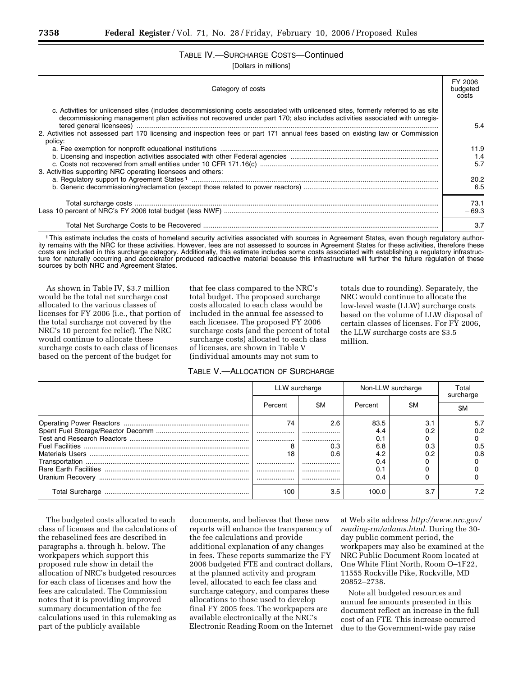## TABLE IV.—SURCHARGE COSTS—Continued

[Dollars in millions]

| Category of costs                                                                                                                                                                                                                                               | FY 2006<br>budgeted<br>costs |
|-----------------------------------------------------------------------------------------------------------------------------------------------------------------------------------------------------------------------------------------------------------------|------------------------------|
| c. Activities for unlicensed sites (includes decommissioning costs associated with unlicensed sites, formerly referred to as site<br>decommissioning management plan activities not recovered under part 170; also includes activities associated with unregis- | 5.4                          |
| 2. Activities not assessed part 170 licensing and inspection fees or part 171 annual fees based on existing law or Commission<br>policy:                                                                                                                        |                              |
|                                                                                                                                                                                                                                                                 | 11.9                         |
|                                                                                                                                                                                                                                                                 | 1.4                          |
|                                                                                                                                                                                                                                                                 | 5.7                          |
| 3. Activities supporting NRC operating licensees and others:                                                                                                                                                                                                    |                              |
|                                                                                                                                                                                                                                                                 | 20.2                         |
|                                                                                                                                                                                                                                                                 | 6.5                          |
|                                                                                                                                                                                                                                                                 | 73.1                         |
|                                                                                                                                                                                                                                                                 | $-69.3$                      |
|                                                                                                                                                                                                                                                                 | 3.7                          |

1This estimate includes the costs of homeland security activities associated with sources in Agreement States, even though regulatory authority remains with the NRC for these activities. However, fees are not assessed to sources in Agreement States for these activities, therefore these costs are included in this surcharge category. Additionally, this estimate includes some costs associated with establishing a regulatory infrastructure for naturally occurring and accelerator produced radioactive material because this infrastructure will further the future regulation of these sources by both NRC and Agreement States.

As shown in Table IV, \$3.7 million would be the total net surcharge cost allocated to the various classes of licenses for FY 2006 (i.e., that portion of the total surcharge not covered by the NRC's 10 percent fee relief). The NRC would continue to allocate these surcharge costs to each class of licenses based on the percent of the budget for

that fee class compared to the NRC's total budget. The proposed surcharge costs allocated to each class would be included in the annual fee assessed to each licensee. The proposed FY 2006 surcharge costs (and the percent of total surcharge costs) allocated to each class of licenses, are shown in Table V (individual amounts may not sum to

TABLE V.—ALLOCATION OF SURCHARGE

totals due to rounding). Separately, the NRC would continue to allocate the low-level waste (LLW) surcharge costs based on the volume of LLW disposal of certain classes of licenses. For FY 2006, the LLW surcharge costs are \$3.5 million.

|                 | LLW surcharge |     | Non-LLW surcharge |     | Total<br>surcharge |
|-----------------|---------------|-----|-------------------|-----|--------------------|
|                 | Percent       | \$Μ | Percent           | \$M | \$Μ                |
|                 | 74            | 2.6 | 83.5              | 3.1 | 5.7                |
|                 |               |     | 4.4               | 0.2 | 0.2                |
|                 |               |     | 0.1               |     |                    |
|                 |               | 0.3 | 6.8               | 0.3 | 0.5                |
|                 | 18            | 0.6 | 4.2               | 0.2 | 0.8                |
|                 |               |     | 0.4               |     |                    |
|                 |               |     |                   |     |                    |
|                 |               |     | 0.4               |     |                    |
| Total Surcharge | 100           | 3.5 | 100.0             | 3.7 | 7.2                |

The budgeted costs allocated to each class of licenses and the calculations of the rebaselined fees are described in paragraphs a. through h. below. The workpapers which support this proposed rule show in detail the allocation of NRC's budgeted resources for each class of licenses and how the fees are calculated. The Commission notes that it is providing improved summary documentation of the fee calculations used in this rulemaking as part of the publicly available

documents, and believes that these new reports will enhance the transparency of the fee calculations and provide additional explanation of any changes in fees. These reports summarize the FY 2006 budgeted FTE and contract dollars, at the planned activity and program level, allocated to each fee class and surcharge category, and compares these allocations to those used to develop final FY 2005 fees. The workpapers are available electronically at the NRC's Electronic Reading Room on the Internet

at Web site address *http://www.nrc.gov/ reading-rm/adams.html*. During the 30 day public comment period, the workpapers may also be examined at the NRC Public Document Room located at One White Flint North, Room O–1F22, 11555 Rockville Pike, Rockville, MD 20852–2738.

Note all budgeted resources and annual fee amounts presented in this document reflect an increase in the full cost of an FTE. This increase occurred due to the Government-wide pay raise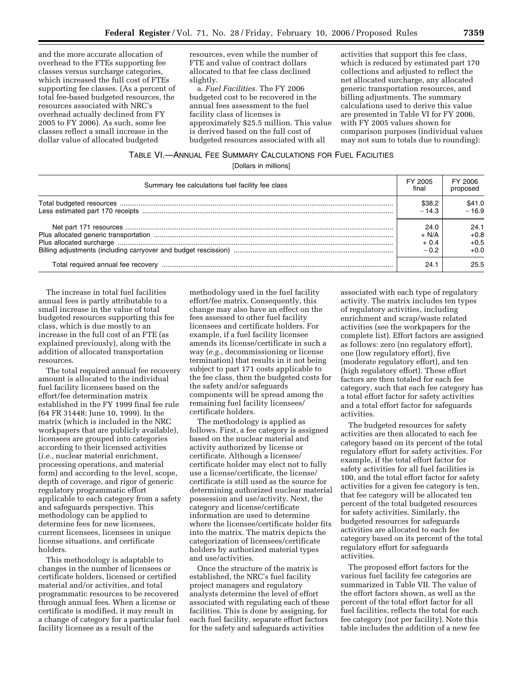and the more accurate allocation of overhead to the FTEs supporting fee classes versus surcharge categories, which increased the full cost of FTEs supporting fee classes. (As a percent of total fee-based budgeted resources, the resources associated with NRC's overhead actually declined from FY 2005 to FY 2006). As such, some fee classes reflect a small increase in the dollar value of allocated budgeted

resources, even while the number of FTE and value of contract dollars allocated to that fee class declined slightly.

a. *Fuel Facilities.* The FY 2006 budgeted cost to be recovered in the annual fees assessment to the fuel facility class of licenses is approximately \$25.5 million. This value is derived based on the full cost of budgeted resources associated with all

activities that support this fee class, which is reduced by estimated part 170 collections and adjusted to reflect the net allocated surcharge, any allocated generic transportation resources, and billing adjustments. The summary calculations used to derive this value are presented in Table VI for FY 2006, with FY 2005 values shown for comparison purposes (individual values may not sum to totals due to rounding):

## TABLE VI.—ANNUAL FEE SUMMARY CALCULATIONS FOR FUEL FACILITIES

[Dollars in millions]

| Summary fee calculations fuel facility fee class | FY 2005<br>final | FY 2006<br>proposed |
|--------------------------------------------------|------------------|---------------------|
|                                                  | \$38.2           | \$41.0              |
|                                                  | $-14.3$          | $-16.9$             |
|                                                  | 24.0             | 24.1                |
|                                                  | $+ N/A$          | $+0.8$              |
|                                                  | $+0.4$           | $+0.5$              |
|                                                  | $-0.2$           | $+0.0$              |
|                                                  | 24.1             | 25.5                |

The increase in total fuel facilities annual fees is partly attributable to a small increase in the value of total budgeted resources supporting this fee class, which is due mostly to an increase in the full cost of an FTE (as explained previously), along with the addition of allocated transportation resources.

The total required annual fee recovery amount is allocated to the individual fuel facility licensees based on the effort/fee determination matrix established in the FY 1999 final fee rule (64 FR 31448; June 10, 1999). In the matrix (which is included in the NRC workpapers that are publicly available), licensees are grouped into categories according to their licensed activities (*i.e.*, nuclear material enrichment, processing operations, and material form) and according to the level, scope, depth of coverage, and rigor of generic regulatory programmatic effort applicable to each category from a safety and safeguards perspective. This methodology can be applied to determine fees for new licensees, current licensees, licensees in unique license situations, and certificate holders.

This methodology is adaptable to changes in the number of licensees or certificate holders, licensed or certified material and/or activities, and total programmatic resources to be recovered through annual fees. When a license or certificate is modified, it may result in a change of category for a particular fuel facility licensee as a result of the

methodology used in the fuel facility effort/fee matrix. Consequently, this change may also have an effect on the fees assessed to other fuel facility licensees and certificate holders. For example, if a fuel facility licensee amends its license/certificate in such a way (*e.g.*, decommissioning or license termination) that results in it not being subject to part 171 costs applicable to the fee class, then the budgeted costs for the safety and/or safeguards components will be spread among the remaining fuel facility licensees/ certificate holders.

The methodology is applied as follows. First, a fee category is assigned based on the nuclear material and activity authorized by license or certificate. Although a licensee/ certificate holder may elect not to fully use a license/certificate, the license/ certificate is still used as the source for determining authorized nuclear material possession and use/activity. Next, the category and license/certificate information are used to determine where the licensee/certificate holder fits into the matrix. The matrix depicts the categorization of licensees/certificate holders by authorized material types and use/activities.

Once the structure of the matrix is established, the NRC's fuel facility project managers and regulatory analysts determine the level of effort associated with regulating each of these facilities. This is done by assigning, for each fuel facility, separate effort factors for the safety and safeguards activities

associated with each type of regulatory activity. The matrix includes ten types of regulatory activities, including enrichment and scrap/waste related activities (see the workpapers for the complete list). Effort factors are assigned as follows: zero (no regulatory effort), one (low regulatory effort), five (moderate regulatory effort), and ten (high regulatory effort). These effort factors are then totaled for each fee category, such that each fee category has a total effort factor for safety activities and a total effort factor for safeguards activities.

The budgeted resources for safety activities are then allocated to each fee category based on its percent of the total regulatory effort for safety activities. For example, if the total effort factor for safety activities for all fuel facilities is 100, and the total effort factor for safety activities for a given fee category is ten, that fee category will be allocated ten percent of the total budgeted resources for safety activities. Similarly, the budgeted resources for safeguards activities are allocated to each fee category based on its percent of the total regulatory effort for safeguards activities.

The proposed effort factors for the various fuel facility fee categories are summarized in Table VII. The value of the effort factors shown, as well as the percent of the total effort factor for all fuel facilities, reflects the total for each fee category (not per facility). Note this table includes the addition of a new fee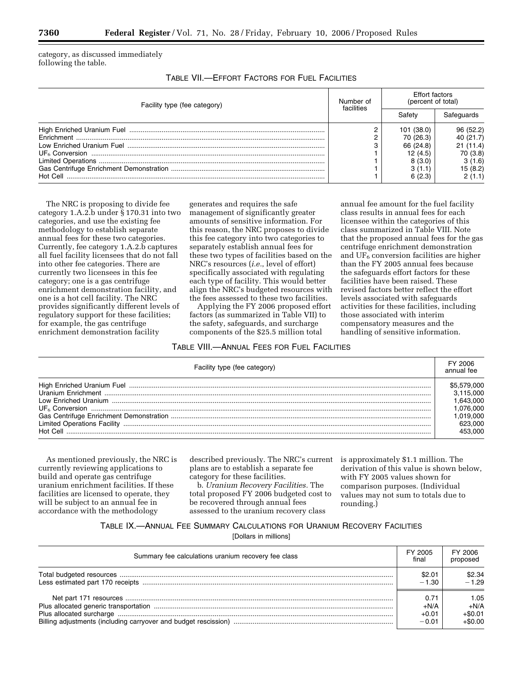category, as discussed immediately following the table.

| Table VII.—Effort Factors for Fuel Facilities |
|-----------------------------------------------|
|-----------------------------------------------|

| Facility type (fee category) | Number of<br>facilities | <b>Effort factors</b><br>(percent of total) |            |
|------------------------------|-------------------------|---------------------------------------------|------------|
|                              |                         | Safetv                                      | Safeguards |
|                              |                         | 101 (38.0)                                  | 96(52.2)   |
|                              |                         | 70 (26.3)                                   | 40(21.7)   |
|                              | C                       | 66 (24.8)                                   | 21(11.4)   |
|                              |                         | 12(4.5)                                     | 70 (3.8)   |
|                              |                         | 8(3.0)                                      | 3(1.6)     |
|                              |                         | 3(1.1)                                      | 15(8.2)    |
| Hot Cell                     |                         | 6(2.3)                                      | 2(1.1)     |

The NRC is proposing to divide fee category 1.A.2.b under § 170.31 into two categories, and use the existing fee methodology to establish separate annual fees for these two categories. Currently, fee category 1.A.2.b captures all fuel facility licensees that do not fall into other fee categories. There are currently two licensees in this fee category; one is a gas centrifuge enrichment demonstration facility, and one is a hot cell facility. The NRC provides significantly different levels of regulatory support for these facilities; for example, the gas centrifuge enrichment demonstration facility

generates and requires the safe management of significantly greater amounts of sensitive information. For this reason, the NRC proposes to divide this fee category into two categories to separately establish annual fees for these two types of facilities based on the NRC's resources (*i.e.*, level of effort) specifically associated with regulating each type of facility. This would better align the NRC's budgeted resources with the fees assessed to these two facilities.

Applying the FY 2006 proposed effort factors (as summarized in Table VII) to the safety, safeguards, and surcharge components of the \$25.5 million total

#### annual fee amount for the fuel facility class results in annual fees for each licensee within the categories of this class summarized in Table VIII. Note that the proposed annual fees for the gas centrifuge enrichment demonstration and UF<sub>6</sub> conversion facilities are higher than the FY 2005 annual fees because the safeguards effort factors for these facilities have been raised. These revised factors better reflect the effort levels associated with safeguards activities for these facilities, including those associated with interim compensatory measures and the handling of sensitive information.

## TABLE VIII.—ANNUAL FEES FOR FUEL FACILITIES

| Facility type (fee category) | FY 2006<br>annual fee |
|------------------------------|-----------------------|
|                              | \$5,579,000           |
|                              | 3.115.000             |
|                              | 1.643.000             |
|                              | 1.076.000             |
|                              | 1.019.000             |
|                              | 623.000               |
|                              | 453.000               |

As mentioned previously, the NRC is currently reviewing applications to build and operate gas centrifuge uranium enrichment facilities. If these facilities are licensed to operate, they will be subject to an annual fee in accordance with the methodology

described previously. The NRC's current plans are to establish a separate fee category for these facilities.

b. *Uranium Recovery Facilities.* The total proposed FY 2006 budgeted cost to be recovered through annual fees assessed to the uranium recovery class

is approximately \$1.1 million. The derivation of this value is shown below, with FY 2005 values shown for comparison purposes. (Individual values may not sum to totals due to rounding.)

#### TABLE IX.—ANNUAL FEE SUMMARY CALCULATIONS FOR URANIUM RECOVERY FACILITIES

[Dollars in millions]

| Summary fee calculations uranium recovery fee class | FY 2005<br>final | FY 2006<br>proposed |
|-----------------------------------------------------|------------------|---------------------|
|                                                     | \$2.01           | \$2.34              |
|                                                     | $-1.30$          | $-1.29$             |
|                                                     | 0.71             | 1.05                |
|                                                     | $+N/A$           | $+N/A$              |
|                                                     | $+0.01$          | $+\$0.01$           |
|                                                     | $-0.01$          | $+\$0.00$           |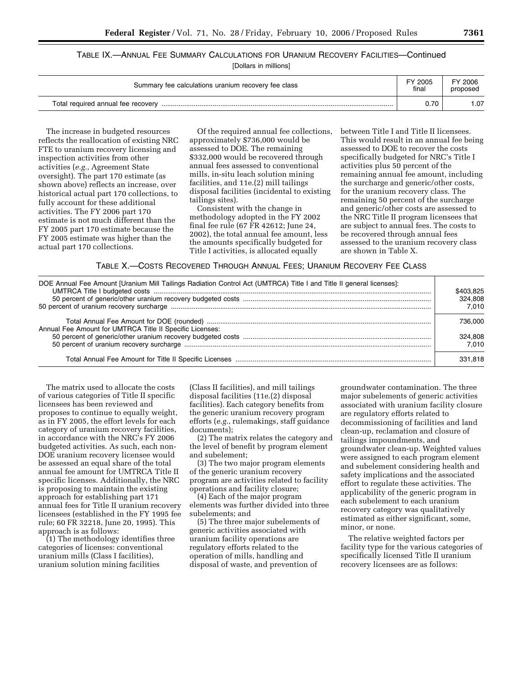#### TABLE IX.—ANNUAL FEE SUMMARY CALCULATIONS FOR URANIUM RECOVERY FACILITIES—Continued  $[$ Dollars in  $]$

| Summary fee calculations uranium recovery fee class |      | FY 2006<br>proposed |
|-----------------------------------------------------|------|---------------------|
| Total required annual fee recovery                  | 0.70 | .07                 |

The increase in budgeted resources reflects the reallocation of existing NRC FTE to uranium recovery licensing and inspection activities from other activities (*e.g.*, Agreement State oversight). The part 170 estimate (as shown above) reflects an increase, over historical actual part 170 collections, to fully account for these additional activities. The FY 2006 part 170 estimate is not much different than the FY 2005 part 170 estimate because the FY 2005 estimate was higher than the actual part 170 collections.

Of the required annual fee collections, approximately \$736,000 would be assessed to DOE. The remaining \$332,000 would be recovered through annual fees assessed to conventional mills, in-situ leach solution mining facilities, and 11e.(2) mill tailings disposal facilities (incidental to existing tailings sites).

Consistent with the change in methodology adopted in the FY 2002 final fee rule (67 FR 42612; June 24, 2002), the total annual fee amount, less the amounts specifically budgeted for Title I activities, is allocated equally

between Title I and Title II licensees. This would result in an annual fee being assessed to DOE to recover the costs specifically budgeted for NRC's Title I activities plus 50 percent of the remaining annual fee amount, including the surcharge and generic/other costs, for the uranium recovery class. The remaining 50 percent of the surcharge and generic/other costs are assessed to the NRC Title II program licensees that are subject to annual fees. The costs to be recovered through annual fees assessed to the uranium recovery class are shown in Table X.

TABLE X.—COSTS RECOVERED THROUGH ANNUAL FEES; URANIUM RECOVERY FEE CLASS

| DOE Annual Fee Amount [Uranium Mill Tailings Radiation Control Act (UMTRCA) Title I and Title II general licenses]: | \$403.825<br>324.808<br>7.010 |
|---------------------------------------------------------------------------------------------------------------------|-------------------------------|
| Annual Fee Amount for UMTRCA Title II Specific Licenses:                                                            | 736.000                       |
|                                                                                                                     | 324.808<br>7.010              |
|                                                                                                                     | 331.818                       |

The matrix used to allocate the costs of various categories of Title II specific licensees has been reviewed and proposes to continue to equally weight, as in FY 2005, the effort levels for each category of uranium recovery facilities, in accordance with the NRC's FY 2006 budgeted activities. As such, each non-DOE uranium recovery licensee would be assessed an equal share of the total annual fee amount for UMTRCA Title II specific licenses. Additionally, the NRC is proposing to maintain the existing approach for establishing part 171 annual fees for Title II uranium recovery licensees (established in the FY 1995 fee rule; 60 FR 32218, June 20, 1995). This approach is as follows:

(1) The methodology identifies three categories of licenses: conventional uranium mills (Class I facilities), uranium solution mining facilities

(Class II facilities), and mill tailings disposal facilities (11e.(2) disposal facilities). Each category benefits from the generic uranium recovery program efforts (*e.g.*, rulemakings, staff guidance documents);

(2) The matrix relates the category and the level of benefit by program element and subelement;

(3) The two major program elements of the generic uranium recovery program are activities related to facility operations and facility closure;

(4) Each of the major program elements was further divided into three subelements; and

(5) The three major subelements of generic activities associated with uranium facility operations are regulatory efforts related to the operation of mills, handling and disposal of waste, and prevention of

groundwater contamination. The three major subelements of generic activities associated with uranium facility closure are regulatory efforts related to decommissioning of facilities and land clean-up, reclamation and closure of tailings impoundments, and groundwater clean-up. Weighted values were assigned to each program element and subelement considering health and safety implications and the associated effort to regulate these activities. The applicability of the generic program in each subelement to each uranium recovery category was qualitatively estimated as either significant, some, minor, or none.

The relative weighted factors per facility type for the various categories of specifically licensed Title II uranium recovery licensees are as follows: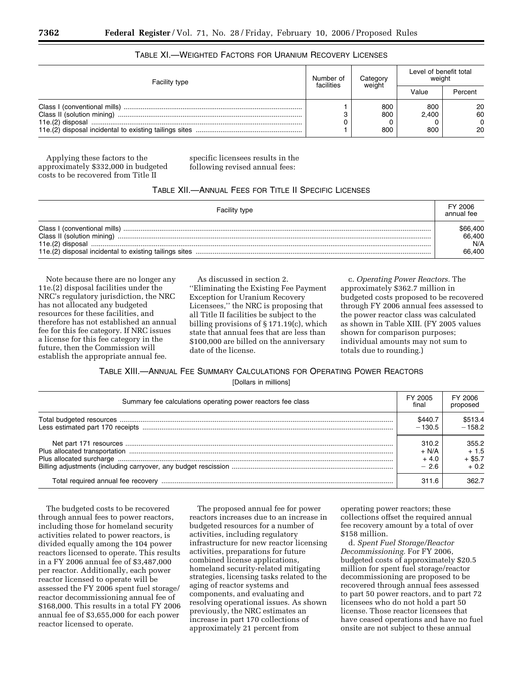| Facility type | Number of<br>facilities | Category<br>weight | Level of benefit total<br>weight |                                |
|---------------|-------------------------|--------------------|----------------------------------|--------------------------------|
|               |                         |                    | Value                            | Percent                        |
|               |                         | 800<br>800<br>800  | 800<br>2.400<br>800              | 20<br>60<br>$\mathbf{0}$<br>20 |

## TABLE XI.—WEIGHTED FACTORS FOR URANIUM RECOVERY LICENSES

Applying these factors to the approximately \$332,000 in budgeted costs to be recovered from Title II

specific licensees results in the following revised annual fees:

#### TABLE XII.—ANNUAL FEES FOR TITLE II SPECIFIC LICENSES

| <b>Facility type</b> | FY 2006<br>annual fee |
|----------------------|-----------------------|
|                      | \$66,400              |
|                      | 66,400                |
|                      | N/A                   |
|                      | 66,400                |

Note because there are no longer any 11e.(2) disposal facilities under the NRC's regulatory jurisdiction, the NRC has not allocated any budgeted resources for these facilities, and therefore has not established an annual fee for this fee category. If NRC issues a license for this fee category in the future, then the Commission will establish the appropriate annual fee.

As discussed in section 2. ''Eliminating the Existing Fee Payment Exception for Uranium Recovery Licensees,'' the NRC is proposing that all Title II facilities be subject to the billing provisions of § 171.19(c), which state that annual fees that are less than \$100,000 are billed on the anniversary date of the license.

c. *Operating Power Reactors.* The approximately \$362.7 million in budgeted costs proposed to be recovered through FY 2006 annual fees assessed to the power reactor class was calculated as shown in Table XIII. (FY 2005 values shown for comparison purposes; individual amounts may not sum to totals due to rounding.)

TABLE XIII.—ANNUAL FEE SUMMARY CALCULATIONS FOR OPERATING POWER REACTORS [Dollars in millions]

| Summary fee calculations operating power reactors fee class | FY 2005<br>final | FY 2006<br>proposed |
|-------------------------------------------------------------|------------------|---------------------|
|                                                             | \$440.7          | \$513.4             |
|                                                             | $-130.5$         | $-158.2$            |
|                                                             | 310.2            | 355.2               |
|                                                             | $+ N/A$          | $+1.5$              |
|                                                             | $+4.0$           | $+$ \$5.7           |
|                                                             | $-2.6$           | $+0.2$              |
|                                                             | 311.6            | 362.                |

The budgeted costs to be recovered through annual fees to power reactors, including those for homeland security activities related to power reactors, is divided equally among the 104 power reactors licensed to operate. This results in a FY 2006 annual fee of \$3,487,000 per reactor. Additionally, each power reactor licensed to operate will be assessed the FY 2006 spent fuel storage/ reactor decommissioning annual fee of \$168,000. This results in a total FY 2006 annual fee of \$3,655,000 for each power reactor licensed to operate.

The proposed annual fee for power reactors increases due to an increase in budgeted resources for a number of activities, including regulatory infrastructure for new reactor licensing activities, preparations for future combined license applications, homeland security-related mitigating strategies, licensing tasks related to the aging of reactor systems and components, and evaluating and resolving operational issues. As shown previously, the NRC estimates an increase in part 170 collections of approximately 21 percent from

operating power reactors; these collections offset the required annual fee recovery amount by a total of over \$158 million.

d. *Spent Fuel Storage/Reactor Decommissioning.* For FY 2006, budgeted costs of approximately \$20.5 million for spent fuel storage/reactor decommissioning are proposed to be recovered through annual fees assessed to part 50 power reactors, and to part 72 licensees who do not hold a part 50 license. Those reactor licensees that have ceased operations and have no fuel onsite are not subject to these annual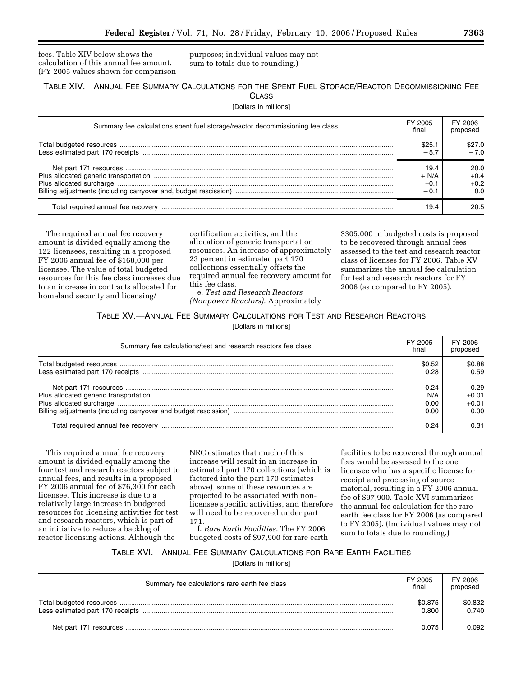fees. Table XIV below shows the calculation of this annual fee amount. (FY 2005 values shown for comparison purposes; individual values may not sum to totals due to rounding.)

#### TABLE XIV.—ANNUAL FEE SUMMARY CALCULATIONS FOR THE SPENT FUEL STORAGE/REACTOR DECOMMISSIONING FEE **CLASS**

[Dollars in millions]

| Summary fee calculations spent fuel storage/reactor decommissioning fee class | FY 2005<br>final | FY 2006<br>proposed |
|-------------------------------------------------------------------------------|------------------|---------------------|
|                                                                               | \$25.1           | \$27.0              |
|                                                                               | $-5.7$           | $-70$               |
|                                                                               | 19.4             | 20.0                |
|                                                                               | $+ N/A$          | $+0.4$              |
|                                                                               | $+0.1$           | $+0.2$              |
|                                                                               | $-0.1$           | 0.0                 |
|                                                                               | 19.4             | 20.5                |

The required annual fee recovery amount is divided equally among the 122 licensees, resulting in a proposed FY 2006 annual fee of \$168,000 per licensee. The value of total budgeted resources for this fee class increases due to an increase in contracts allocated for homeland security and licensing/

certification activities, and the allocation of generic transportation resources. An increase of approximately 23 percent in estimated part 170 collections essentially offsets the required annual fee recovery amount for this fee class. e. *Test and Research Reactors* 

*(Nonpower Reactors).* Approximately

\$305,000 in budgeted costs is proposed to be recovered through annual fees assessed to the test and research reactor class of licenses for FY 2006. Table XV summarizes the annual fee calculation for test and research reactors for FY 2006 (as compared to FY 2005).

#### TABLE XV.—ANNUAL FEE SUMMARY CALCULATIONS FOR TEST AND RESEARCH REACTORS

[Dollars in millions]

| Summary fee calculations/test and research reactors fee class |         | FY 2006<br>proposed |
|---------------------------------------------------------------|---------|---------------------|
|                                                               | \$0.52  | \$0.88              |
|                                                               | $-0.28$ | $-0.59$             |
|                                                               | 0.24    | $-0.29$             |
|                                                               | N/A     | $+0.01$             |
|                                                               | 0.00    | $+0.01$             |
|                                                               | 0.00    | 0.00                |
|                                                               | 0.24    | 0.31                |

This required annual fee recovery amount is divided equally among the four test and research reactors subject to annual fees, and results in a proposed FY 2006 annual fee of \$76,300 for each licensee. This increase is due to a relatively large increase in budgeted resources for licensing activities for test and research reactors, which is part of an initiative to reduce a backlog of reactor licensing actions. Although the

NRC estimates that much of this increase will result in an increase in estimated part 170 collections (which is factored into the part 170 estimates above), some of these resources are projected to be associated with nonlicensee specific activities, and therefore will need to be recovered under part 171.

f. *Rare Earth Facilities.* The FY 2006 budgeted costs of \$97,900 for rare earth

facilities to be recovered through annual fees would be assessed to the one licensee who has a specific license for receipt and processing of source material, resulting in a FY 2006 annual fee of \$97,900. Table XVI summarizes the annual fee calculation for the rare earth fee class for FY 2006 (as compared to FY 2005). (Individual values may not sum to totals due to rounding.)

## TABLE XVI.—ANNUAL FEE SUMMARY CALCULATIONS FOR RARE EARTH FACILITIES

[Dollars in millions]

| Summary fee calculations rare earth fee class | FY 2005<br>final    | FY 2006<br>proposed |
|-----------------------------------------------|---------------------|---------------------|
|                                               | \$0.875<br>$-0.800$ | \$0.832<br>$-0.740$ |
|                                               | 0.075               | 0.092               |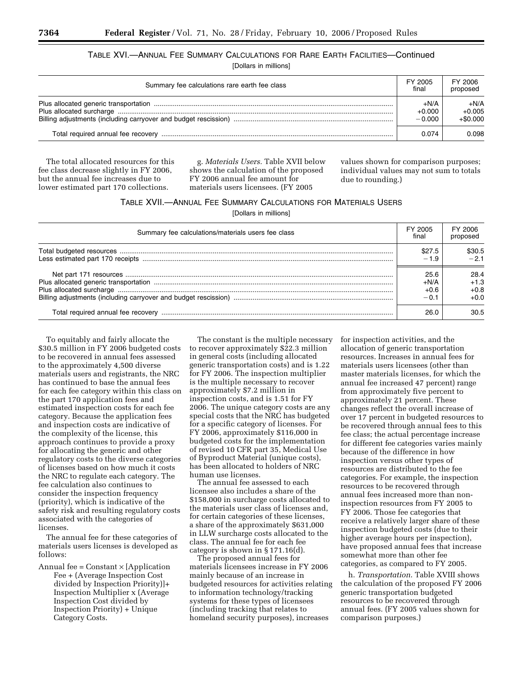## TABLE XVI.—ANNUAL FEE SUMMARY CALCULATIONS FOR RARE EARTH FACILITIES—Continued

[Dollars in millions]

| Summary fee calculations rare earth fee class | FY 2005<br>final               | FY 2006<br>proposed              |
|-----------------------------------------------|--------------------------------|----------------------------------|
|                                               | $+N/A$<br>$+0.000$<br>$-0.000$ | $+N/A$<br>$+0.005$<br>$+\$0.000$ |
|                                               | 0.074                          | 0.098                            |

The total allocated resources for this fee class decrease slightly in FY 2006, but the annual fee increases due to lower estimated part 170 collections.

g. *Materials Users.* Table XVII below shows the calculation of the proposed FY 2006 annual fee amount for materials users licensees. (FY 2005

values shown for comparison purposes; individual values may not sum to totals due to rounding.)

#### TABLE XVII.—ANNUAL FEE SUMMARY CALCULATIONS FOR MATERIALS USERS

[Dollars in millions]

| Summary fee calculations/materials users fee class | FY 2005<br>final | FY 2006<br>proposed |
|----------------------------------------------------|------------------|---------------------|
|                                                    | \$27.5           | \$30.5              |
|                                                    | $-1.9$           | $-21$               |
|                                                    | 25.6             | 28.4                |
|                                                    | $+N/A$           | $+1.3$              |
|                                                    | $+0.6$           | $+0.8$              |
|                                                    | $-0.1$           | $+0.0$              |
|                                                    | 26.0             | 30.5                |

To equitably and fairly allocate the \$30.5 million in FY 2006 budgeted costs to be recovered in annual fees assessed to the approximately 4,500 diverse materials users and registrants, the NRC has continued to base the annual fees for each fee category within this class on the part 170 application fees and estimated inspection costs for each fee category. Because the application fees and inspection costs are indicative of the complexity of the license, this approach continues to provide a proxy for allocating the generic and other regulatory costs to the diverse categories of licenses based on how much it costs the NRC to regulate each category. The fee calculation also continues to consider the inspection frequency (priority), which is indicative of the safety risk and resulting regulatory costs associated with the categories of licenses.

The annual fee for these categories of materials users licenses is developed as follows:

Annual fee =  $Constant \times [Application$ Fee + (Average Inspection Cost divided by Inspection Priority)]+ Inspection Multiplier x (Average Inspection Cost divided by Inspection Priority) + Unique Category Costs.

The constant is the multiple necessary to recover approximately \$22.3 million in general costs (including allocated generic transportation costs) and is 1.22 for FY 2006. The inspection multiplier is the multiple necessary to recover approximately \$7.2 million in inspection costs, and is 1.51 for FY 2006. The unique category costs are any special costs that the NRC has budgeted for a specific category of licenses. For FY 2006, approximately \$116,000 in budgeted costs for the implementation of revised 10 CFR part 35, Medical Use of Byproduct Material (unique costs), has been allocated to holders of NRC human use licenses.

The annual fee assessed to each licensee also includes a share of the \$158,000 in surcharge costs allocated to the materials user class of licenses and, for certain categories of these licenses, a share of the approximately \$631,000 in LLW surcharge costs allocated to the class. The annual fee for each fee category is shown in § 171.16(d).

The proposed annual fees for materials licensees increase in FY 2006 mainly because of an increase in budgeted resources for activities relating to information technology/tracking systems for these types of licensees (including tracking that relates to homeland security purposes), increases

for inspection activities, and the allocation of generic transportation resources. Increases in annual fees for materials users licensees (other than master materials licenses, for which the annual fee increased 47 percent) range from approximately five percent to approximately 21 percent. These changes reflect the overall increase of over 17 percent in budgeted resources to be recovered through annual fees to this fee class; the actual percentage increase for different fee categories varies mainly because of the difference in how inspection versus other types of resources are distributed to the fee categories. For example, the inspection resources to be recovered through annual fees increased more than noninspection resources from FY 2005 to FY 2006. Those fee categories that receive a relatively larger share of these inspection budgeted costs (due to their higher average hours per inspection), have proposed annual fees that increase somewhat more than other fee categories, as compared to FY 2005.

h. *Transportation*. Table XVIII shows the calculation of the proposed FY 2006 generic transportation budgeted resources to be recovered through annual fees. (FY 2005 values shown for comparison purposes.)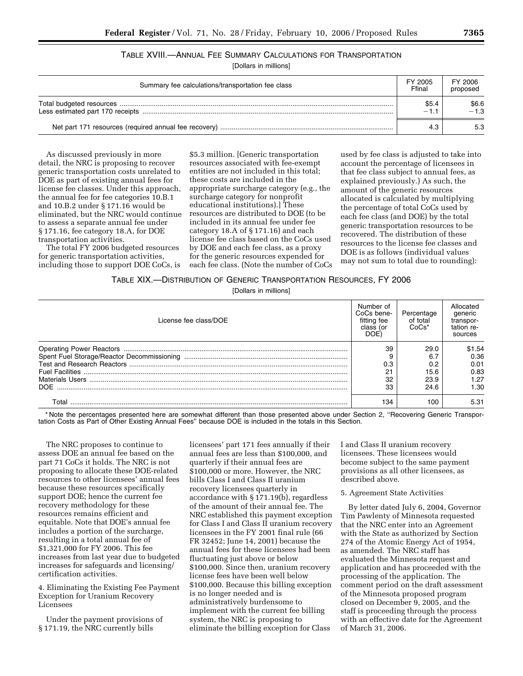## TABLE XVIII.—ANNUAL FEE SUMMARY CALCULATIONS FOR TRANSPORTATION

[Dollars in millions]

| Summary fee calculations/transportation fee class | FY 2005<br>Ffinal | FY 2006<br>proposed |
|---------------------------------------------------|-------------------|---------------------|
|                                                   | \$5.4<br>$-1.1$   | \$6.6<br>$-1.3$     |
|                                                   | 4.3               | 5.3                 |

As discussed previously in more detail, the NRC is proposing to recover generic transportation costs unrelated to DOE as part of existing annual fees for license fee classes. Under this approach, the annual fee for fee categories 10.B.1 and 10.B.2 under § 171.16 would be eliminated, but the NRC would continue to assess a separate annual fee under § 171.16, fee category 18.A, for DOE transportation activities.

The total FY 2006 budgeted resources for generic transportation activities, including those to support DOE CoCs, is

\$5.3 million. [Generic transportation resources associated with fee-exempt entities are not included in this total; these costs are included in the appropriate surcharge category (e.g., the surcharge category for nonprofit educational institutions).] These resources are distributed to DOE (to be included in its annual fee under fee category 18.A of § 171.16) and each license fee class based on the CoCs used by DOE and each fee class, as a proxy for the generic resources expended for each fee class. (Note the number of CoCs

used by fee class is adjusted to take into account the percentage of licensees in that fee class subject to annual fees, as explained previously.) As such, the amount of the generic resources allocated is calculated by multiplying the percentage of total CoCs used by each fee class (and DOE) by the total generic transportation resources to be recovered. The distribution of these resources to the license fee classes and DOE is as follows (individual values may not sum to total due to rounding):

| TABLE XIX.- DISTRIBUTION OF GENERIC TRANSPORTATION RESOURCES, FY 2006 |  |  |  |  |
|-----------------------------------------------------------------------|--|--|--|--|
|-----------------------------------------------------------------------|--|--|--|--|

#### [Dollars in millions]

| License fee class/DOE | Number of<br>CoCs bene-<br>fitting fee<br>class (or<br>DOE <sup>®</sup> | Percentage<br>of total<br>$CoCs*$ | Allocated<br>generic<br>transpor-<br>tation re-<br>sources |
|-----------------------|-------------------------------------------------------------------------|-----------------------------------|------------------------------------------------------------|
|                       | 39                                                                      | 29.0                              | \$1.54                                                     |
|                       |                                                                         | 6.7                               | 0.36                                                       |
|                       | 0.3                                                                     | 0.2                               | 0.01                                                       |
|                       | 21                                                                      | 15.6                              | 0.83                                                       |
|                       | 32                                                                      | 23.9                              | 1.27                                                       |
| DOE.                  | 33                                                                      | 24.6                              | 1.30                                                       |
| Total                 | 134                                                                     | 100                               | 5.31                                                       |

\* Note the percentages presented here are somewhat different than those presented above under Section 2, ''Recovering Generic Transportation Costs as Part of Other Existing Annual Fees'' because DOE is included in the totals in this Section.

The NRC proposes to continue to assess DOE an annual fee based on the part 71 CoCs it holds. The NRC is not proposing to allocate these DOE-related resources to other licensees' annual fees because these resources specifically support DOE; hence the current fee recovery methodology for these resources remains efficient and equitable. Note that DOE's annual fee includes a portion of the surcharge, resulting in a total annual fee of \$1,321,000 for FY 2006. This fee increases from last year due to budgeted increases for safeguards and licensing/ certification activities.

4. Eliminating the Existing Fee Payment Exception for Uranium Recovery Licensees

Under the payment provisions of § 171.19, the NRC currently bills

licensees' part 171 fees annually if their annual fees are less than \$100,000, and quarterly if their annual fees are \$100,000 or more. However, the NRC bills Class I and Class II uranium recovery licensees quarterly in accordance with § 171.19(b), regardless of the amount of their annual fee. The NRC established this payment exception for Class I and Class II uranium recovery licensees in the FY 2001 final rule (66 FR 32452; June 14, 2001) because the annual fees for these licensees had been fluctuating just above or below \$100,000. Since then, uranium recovery license fees have been well below \$100,000. Because this billing exception is no longer needed and is administratively burdensome to implement with the current fee billing system, the NRC is proposing to eliminate the billing exception for Class

I and Class II uranium recovery licensees. These licensees would become subject to the same payment provisions as all other licensees, as described above.

#### 5. Agreement State Activities

By letter dated July 6, 2004, Governor Tim Pawlenty of Minnesota requested that the NRC enter into an Agreement with the State as authorized by Section 274 of the Atomic Energy Act of 1954, as amended. The NRC staff has evaluated the Minnesota request and application and has proceeded with the processing of the application. The comment period on the draft assessment of the Minnesota proposed program closed on December 9, 2005, and the staff is proceeding through the process with an effective date for the Agreement of March 31, 2006.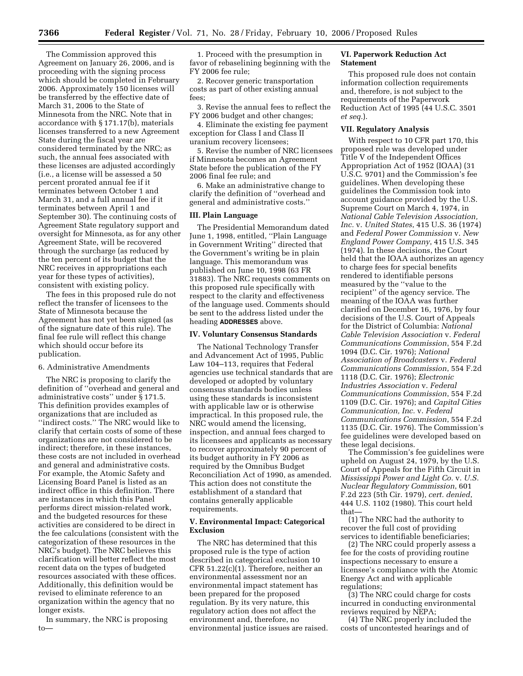The Commission approved this Agreement on January 26, 2006, and is proceeding with the signing process which should be completed in February 2006. Approximately 150 licenses will be transferred by the effective date of March 31, 2006 to the State of Minnesota from the NRC. Note that in accordance with § 171.17(b), materials licenses transferred to a new Agreement State during the fiscal year are considered terminated by the NRC; as such, the annual fees associated with these licenses are adjusted accordingly (i.e., a license will be assessed a 50 percent prorated annual fee if it terminates between October 1 and March 31, and a full annual fee if it terminates between April 1 and September 30). The continuing costs of Agreement State regulatory support and oversight for Minnesota, as for any other Agreement State, will be recovered through the surcharge (as reduced by the ten percent of its budget that the NRC receives in appropriations each year for these types of activities), consistent with existing policy.

The fees in this proposed rule do not reflect the transfer of licensees to the State of Minnesota because the Agreement has not yet been signed (as of the signature date of this rule). The final fee rule will reflect this change which should occur before its publication.

#### 6. Administrative Amendments

The NRC is proposing to clarify the definition of ''overhead and general and administrative costs'' under § 171.5. This definition provides examples of organizations that are included as ''indirect costs.'' The NRC would like to clarify that certain costs of some of these organizations are not considered to be indirect; therefore, in these instances, these costs are not included in overhead and general and administrative costs. For example, the Atomic Safety and Licensing Board Panel is listed as an indirect office in this definition. There are instances in which this Panel performs direct mission-related work, and the budgeted resources for these activities are considered to be direct in the fee calculations (consistent with the categorization of these resources in the NRC's budget). The NRC believes this clarification will better reflect the most recent data on the types of budgeted resources associated with these offices. Additionally, this definition would be revised to eliminate reference to an organization within the agency that no longer exists.

In summary, the NRC is proposing to—

1. Proceed with the presumption in favor of rebaselining beginning with the FY 2006 fee rule;

2. Recover generic transportation costs as part of other existing annual fees;

3. Revise the annual fees to reflect the FY 2006 budget and other changes;

4. Eliminate the existing fee payment exception for Class I and Class II uranium recovery licensees;

5. Revise the number of NRC licensees if Minnesota becomes an Agreement State before the publication of the FY 2006 final fee rule; and

6. Make an administrative change to clarify the definition of ''overhead and general and administrative costs.''

#### **III. Plain Language**

The Presidential Memorandum dated June 1, 1998, entitled, ''Plain Language in Government Writing'' directed that the Government's writing be in plain language. This memorandum was published on June 10, 1998 (63 FR 31883). The NRC requests comments on this proposed rule specifically with respect to the clarity and effectiveness of the language used. Comments should be sent to the address listed under the heading **ADDRESSES** above.

#### **IV. Voluntary Consensus Standards**

The National Technology Transfer and Advancement Act of 1995, Public Law 104–113, requires that Federal agencies use technical standards that are developed or adopted by voluntary consensus standards bodies unless using these standards is inconsistent with applicable law or is otherwise impractical. In this proposed rule, the NRC would amend the licensing, inspection, and annual fees charged to its licensees and applicants as necessary to recover approximately 90 percent of its budget authority in FY 2006 as required by the Omnibus Budget Reconciliation Act of 1990, as amended. This action does not constitute the establishment of a standard that contains generally applicable requirements.

#### **V. Environmental Impact: Categorical Exclusion**

The NRC has determined that this proposed rule is the type of action described in categorical exclusion 10 CFR 51.22(c)(1). Therefore, neither an environmental assessment nor an environmental impact statement has been prepared for the proposed regulation. By its very nature, this regulatory action does not affect the environment and, therefore, no environmental justice issues are raised.

#### **VI. Paperwork Reduction Act Statement**

This proposed rule does not contain information collection requirements and, therefore, is not subject to the requirements of the Paperwork Reduction Act of 1995 (44 U.S.C. 3501 *et seq.*).

#### **VII. Regulatory Analysis**

With respect to 10 CFR part 170, this proposed rule was developed under Title V of the Independent Offices Appropriation Act of 1952 (IOAA) (31 U.S.C. 9701) and the Commission's fee guidelines. When developing these guidelines the Commission took into account guidance provided by the U.S. Supreme Court on March 4, 1974, in *National Cable Television Association, Inc.* v. *United States*, 415 U.S. 36 (1974) and *Federal Power Commission* v. *New England Power Company*, 415 U.S. 345 (1974). In these decisions, the Court held that the IOAA authorizes an agency to charge fees for special benefits rendered to identifiable persons measured by the ''value to the recipient'' of the agency service. The meaning of the IOAA was further clarified on December 16, 1976, by four decisions of the U.S. Court of Appeals for the District of Columbia: *National Cable Television Association* v. *Federal Communications Commission*, 554 F.2d 1094 (D.C. Cir. 1976); *National Association of Broadcasters* v. *Federal Communications Commission*, 554 F.2d 1118 (D.C. Cir. 1976); *Electronic Industries Association* v. *Federal Communications Commission*, 554 F.2d 1109 (D.C. Cir. 1976); and *Capital Cities Communication, Inc.* v. *Federal Communications Commission*, 554 F.2d 1135 (D.C. Cir. 1976). The Commission's fee guidelines were developed based on these legal decisions.

The Commission's fee guidelines were upheld on August 24, 1979, by the U.S. Court of Appeals for the Fifth Circuit in *Mississippi Power and Light Co.* v. *U.S. Nuclear Regulatory Commission*, 601 F.2d 223 (5th Cir. 1979), *cert. denied*, 444 U.S. 1102 (1980). This court held that—

(1) The NRC had the authority to recover the full cost of providing services to identifiable beneficiaries;

(2) The NRC could properly assess a fee for the costs of providing routine inspections necessary to ensure a licensee's compliance with the Atomic Energy Act and with applicable regulations;

(3) The NRC could charge for costs incurred in conducting environmental reviews required by NEPA;

(4) The NRC properly included the costs of uncontested hearings and of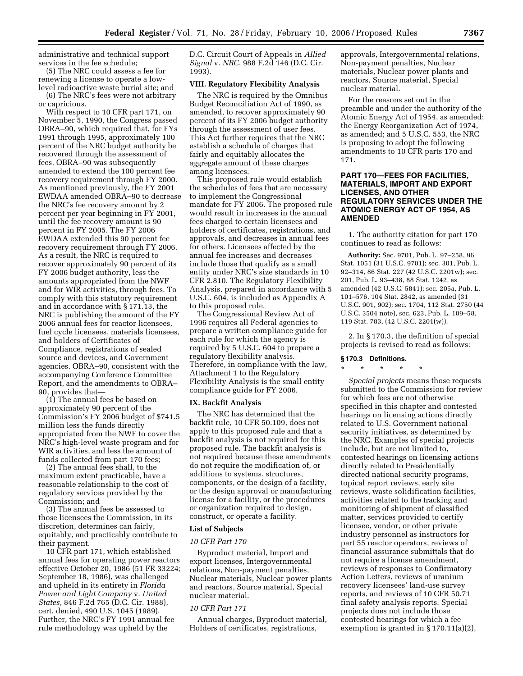administrative and technical support services in the fee schedule;

(5) The NRC could assess a fee for renewing a license to operate a lowlevel radioactive waste burial site; and

(6) The NRC's fees were not arbitrary or capricious.

With respect to 10 CFR part 171, on November 5, 1990, the Congress passed OBRA–90, which required that, for FYs 1991 through 1995, approximately 100 percent of the NRC budget authority be recovered through the assessment of fees. OBRA–90 was subsequently amended to extend the 100 percent fee recovery requirement through FY 2000. As mentioned previously, the FY 2001 EWDAA amended OBRA–90 to decrease the NRC's fee recovery amount by 2 percent per year beginning in FY 2001, until the fee recovery amount is 90 percent in FY 2005. The FY 2006 EWDAA extended this 90 percent fee recovery requirement through FY 2006. As a result, the NRC is required to recover approximately 90 percent of its FY 2006 budget authority, less the amounts appropriated from the NWF and for WIR activities, through fees. To comply with this statutory requirement and in accordance with § 171.13, the NRC is publishing the amount of the FY 2006 annual fees for reactor licensees, fuel cycle licensees, materials licensees, and holders of Certificates of Compliance, registrations of sealed source and devices, and Government agencies. OBRA–90, consistent with the accompanying Conference Committee Report, and the amendments to OBRA– 90, provides that—

(1) The annual fees be based on approximately 90 percent of the Commission's FY 2006 budget of \$741.5 million less the funds directly appropriated from the NWF to cover the NRC's high-level waste program and for WIR activities, and less the amount of funds collected from part 170 fees;

(2) The annual fees shall, to the maximum extent practicable, have a reasonable relationship to the cost of regulatory services provided by the Commission; and

(3) The annual fees be assessed to those licensees the Commission, in its discretion, determines can fairly, equitably, and practicably contribute to their payment.

10 CFR part 171, which established annual fees for operating power reactors effective October 20, 1986 (51 FR 33224; September 18, 1986), was challenged and upheld in its entirety in *Florida Power and Light Company* v. *United States*, 846 F.2d 765 (D.C. Cir. 1988), cert. denied, 490 U.S. 1045 (1989). Further, the NRC's FY 1991 annual fee rule methodology was upheld by the

D.C. Circuit Court of Appeals in *Allied Signal* v. *NRC*, 988 F.2d 146 (D.C. Cir. 1993).

#### **VIII. Regulatory Flexibility Analysis**

The NRC is required by the Omnibus Budget Reconciliation Act of 1990, as amended, to recover approximately 90 percent of its FY 2006 budget authority through the assessment of user fees. This Act further requires that the NRC establish a schedule of charges that fairly and equitably allocates the aggregate amount of these charges among licensees.

This proposed rule would establish the schedules of fees that are necessary to implement the Congressional mandate for FY 2006. The proposed rule would result in increases in the annual fees charged to certain licensees and holders of certificates, registrations, and approvals, and decreases in annual fees for others. Licensees affected by the annual fee increases and decreases include those that qualify as a small entity under NRC's size standards in 10 CFR 2.810. The Regulatory Flexibility Analysis, prepared in accordance with 5 U.S.C. 604, is included as Appendix A to this proposed rule.

The Congressional Review Act of 1996 requires all Federal agencies to prepare a written compliance guide for each rule for which the agency is required by 5 U.S.C. 604 to prepare a regulatory flexibility analysis. Therefore, in compliance with the law, Attachment 1 to the Regulatory Flexibility Analysis is the small entity compliance guide for FY 2006.

#### **IX. Backfit Analysis**

The NRC has determined that the backfit rule, 10 CFR 50.109, does not apply to this proposed rule and that a backfit analysis is not required for this proposed rule. The backfit analysis is not required because these amendments do not require the modification of, or additions to systems, structures, components, or the design of a facility, or the design approval or manufacturing license for a facility, or the procedures or organization required to design, construct, or operate a facility.

#### **List of Subjects**

#### *10 CFR Part 170*

Byproduct material, Import and export licenses, Intergovernmental relations, Non-payment penalties, Nuclear materials, Nuclear power plants and reactors, Source material, Special nuclear material.

#### *10 CFR Part 171*

Annual charges, Byproduct material, Holders of certificates, registrations,

approvals, Intergovernmental relations, Non-payment penalties, Nuclear materials, Nuclear power plants and reactors, Source material, Special nuclear material.

For the reasons set out in the preamble and under the authority of the Atomic Energy Act of 1954, as amended; the Energy Reorganization Act of 1974, as amended; and 5 U.S.C. 553, the NRC is proposing to adopt the following amendments to 10 CFR parts 170 and 171.

#### **PART 170—FEES FOR FACILITIES, MATERIALS, IMPORT AND EXPORT LICENSES, AND OTHER REGULATORY SERVICES UNDER THE ATOMIC ENERGY ACT OF 1954, AS AMENDED**

1. The authority citation for part 170 continues to read as follows:

**Authority:** Sec. 9701, Pub. L. 97–258, 96 Stat. 1051 (31 U.S.C. 9701); sec. 301, Pub. L. 92–314, 86 Stat. 227 (42 U.S.C. 2201w); sec. 201, Pub. L. 93–438, 88 Stat. 1242, as amended (42 U.S.C. 5841); sec. 205a, Pub. L. 101–576, 104 Stat. 2842, as amended (31 U.S.C. 901, 902); sec. 1704, 112 Stat. 2750 (44 U.S.C. 3504 note), sec. 623, Pub. L. 109–58, 119 Stat. 783, (42 U.S.C. 2201(w)).

2. In § 170.3, the definition of special projects is revised to read as follows:

#### **§ 170.3 Definitions.**

\* \* \* \* \*

*Special projects* means those requests submitted to the Commission for review for which fees are not otherwise specified in this chapter and contested hearings on licensing actions directly related to U.S. Government national security initiatives, as determined by the NRC. Examples of special projects include, but are not limited to, contested hearings on licensing actions directly related to Presidentially directed national security programs, topical report reviews, early site reviews, waste solidification facilities, activities related to the tracking and monitoring of shipment of classified matter, services provided to certify licensee, vendor, or other private industry personnel as instructors for part 55 reactor operators, reviews of financial assurance submittals that do not require a license amendment, reviews of responses to Confirmatory Action Letters, reviews of uranium recovery licensees' land-use survey reports, and reviews of 10 CFR 50.71 final safety analysis reports. Special projects does not include those contested hearings for which a fee exemption is granted in § 170.11(a)(2),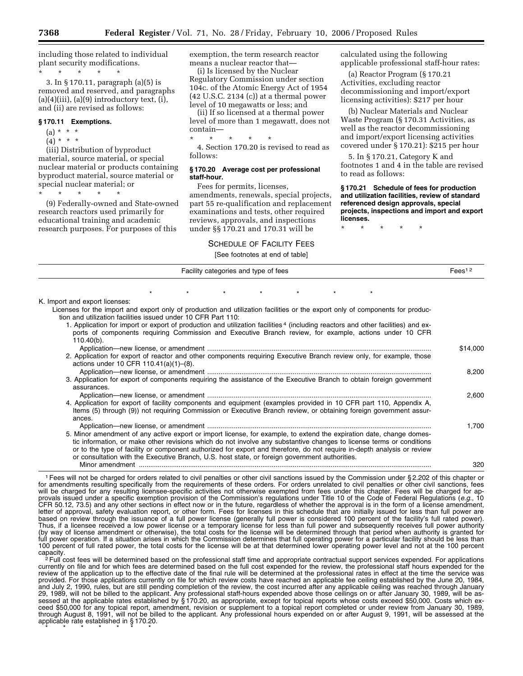including those related to individual plant security modifications.

\* \* \* \* \* 3. In § 170.11, paragraph (a)(5) is removed and reserved, and paragraphs  $(a)(4)(iii)$ ,  $(a)(9)$  introductory text,  $(i)$ , and (ii) are revised as follows:

#### **§ 170.11 Exemptions.**

- $(a) * * * *$
- $(4) * * * *$

(iii) Distribution of byproduct material, source material, or special nuclear material or products containing byproduct material, source material or special nuclear material; or

\* \* \* \* \*

(9) Federally-owned and State-owned research reactors used primarily for educational training and academic research purposes. For purposes of this

exemption, the term research reactor means a nuclear reactor that—

(i) Is licensed by the Nuclear Regulatory Commission under section 104c. of the Atomic Energy Act of 1954 (42 U.S.C. 2134 (c)) at a thermal power level of 10 megawatts or less; and

(ii) If so licensed at a thermal power level of more than 1 megawatt, does not contain—

\* \* \* \* \*

4. Section 170.20 is revised to read as follows:

#### **§ 170.20 Average cost per professional staff-hour.**

Fees for permits, licenses, amendments, renewals, special projects, part 55 re-qualification and replacement examinations and tests, other required reviews, approvals, and inspections under §§ 170.21 and 170.31 will be

#### SCHEDULE OF FACILITY FEES

calculated using the following applicable professional staff-hour rates:

(a) Reactor Program (§ 170.21 Activities, excluding reactor decommissioning and import/export licensing activities): \$217 per hour

(b) Nuclear Materials and Nuclear Waste Program (§ 170.31 Activities, as well as the reactor decommissioning and import/export licensing activities covered under § 170.21): \$215 per hour

5. In § 170.21, Category K and footnotes 1 and 4 in the table are revised to read as follows:

**§ 170.21 Schedule of fees for production and utilization facilities, review of standard referenced design approvals, special projects, inspections and import and export licenses.** 

\* \* \* \* \*

|                                                                                                                                             |  |                                      | [See footnotes at end of table] |  |  |                    |
|---------------------------------------------------------------------------------------------------------------------------------------------|--|--------------------------------------|---------------------------------|--|--|--------------------|
|                                                                                                                                             |  | Facility categories and type of fees |                                 |  |  | Fees <sup>12</sup> |
|                                                                                                                                             |  |                                      |                                 |  |  |                    |
| K. Import and export licenses:                                                                                                              |  |                                      |                                 |  |  |                    |
| Licenses for the import and export only of production and utilization facilities or the export only of components for produc-               |  |                                      |                                 |  |  |                    |
| tion and utilization facilities issued under 10 CFR Part 110.                                                                               |  |                                      |                                 |  |  |                    |
| 1. Application for import or export of production and utilization facilities <sup>4</sup> (including reactors and other facilities) and ex- |  |                                      |                                 |  |  |                    |
| ports of components requiring Commission and Executive Branch review, for example, actions under 10 CFR                                     |  |                                      |                                 |  |  |                    |
| $110.40(b)$ .                                                                                                                               |  |                                      |                                 |  |  |                    |
| 2. Application for export of reactor and other components requiring Executive Branch review only, for example, those                        |  |                                      |                                 |  |  | \$14,000           |
| actions under 10 CFR $110.41(a)(1)$ –(8).                                                                                                   |  |                                      |                                 |  |  |                    |
|                                                                                                                                             |  |                                      |                                 |  |  | 8,200              |
| 3. Application for export of components requiring the assistance of the Executive Branch to obtain foreign government                       |  |                                      |                                 |  |  |                    |
| assurances.                                                                                                                                 |  |                                      |                                 |  |  |                    |
|                                                                                                                                             |  |                                      |                                 |  |  | 2,600              |
| 4. Application for export of facility components and equipment (examples provided in 10 CFR part 110, Appendix A,                           |  |                                      |                                 |  |  |                    |
| Items (5) through (9)) not requiring Commission or Executive Branch review, or obtaining foreign government assur-<br>ances.                |  |                                      |                                 |  |  |                    |
|                                                                                                                                             |  |                                      |                                 |  |  | 1.700              |
| 5. Minor amendment of any active export or import license, for example, to extend the expiration date, change domes-                        |  |                                      |                                 |  |  |                    |
| tic information, or make other revisions which do not involve any substantive changes to license terms or conditions                        |  |                                      |                                 |  |  |                    |
| or to the type of facility or component authorized for export and therefore, do not require in-depth analysis or review                     |  |                                      |                                 |  |  |                    |
| or consultation with the Executive Branch, U.S. host state, or foreign government authorities.                                              |  |                                      |                                 |  |  |                    |
|                                                                                                                                             |  |                                      |                                 |  |  | 320                |

1Fees will not be charged for orders related to civil penalties or other civil sanctions issued by the Commission under § 2.202 of this chapter or for amendments resulting specifically from the requirements of these orders. For orders unrelated to civil penalties or other civil sanctions, fees will be charged for any resulting licensee-specific activities not otherwise exempted from fees under this chapter. Fees will be charged for approvals issued under a specific exemption provision of the Commission's regulations under Title 10 of the Code of Federal Regulations (*e.g.*, 10 CFR 50.12, 73.5) and any other sections in effect now or in the future, regardless of whether the approval is in the form of a license amendment, letter of approval, safety evaluation report, or other form. Fees for licenses in this schedule that are initially issued for less than full power are based on review through the issuance of a full power license (generally full power is considered 100 percent of the facility's full rated power). Thus, if a licensee received a low power license or a temporary license for less than full power and subsequently receives full power authority (by way of license amendment or otherwise), the total costs for the license will be determined through that period when authority is granted for full power operation. If a situation arises in which the Commission determines that full operating power for a particular facility should be less than 100 percent of full rated power, the total costs for the license will be at that determined lower operating power level and not at the 100 percent

capacity.<br><sup>2</sup> Full cost fees will be determined based on the professional staff time and appropriate contractual support services expended. For applications currently on file and for which fees are determined based on the full cost expended for the review, the professional staff hours expended for the review of the application up to the effective date of the final rule will be determined at the professional rates in effect at the time the service was provided. For those applications currently on file for which review costs have reached an applicable fee ceiling established by the June 20, 1984, and July 2, 1990, rules, but are still pending completion of the review, the cost incurred after any applicable ceiling was reached through January 29, 1989, will not be billed to the applicant. Any professional staff-hours expended above those ceilings on or after January 30, 1989, will be assessed at the applicable rates established by § 170.20, as appropriate, except for topical reports whose costs exceed \$50,000. Costs which exceed \$50,000 for any topical report, amendment, revision or supplement to a topical report completed or under review from January 30, 1989, through August 8, 1991, will not be billed to the applicant. Any professional hours expended on or after August 9, 1991, will be assessed at the applicable rate established in § 170.20. \* \* \* \* \* \* \*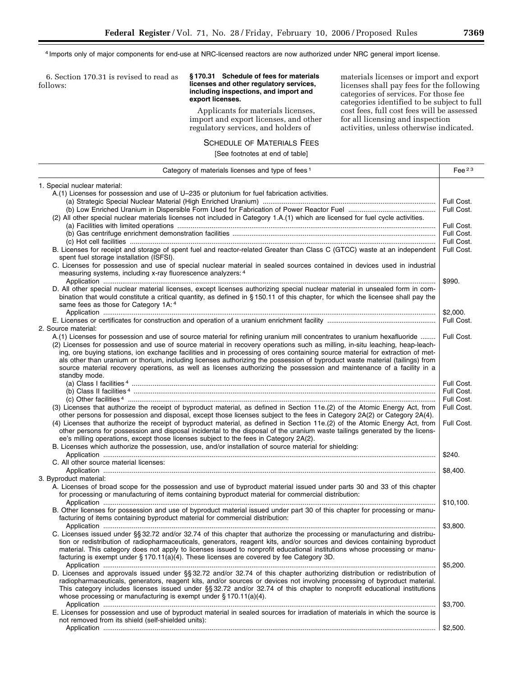4 Imports only of major components for end-use at NRC-licensed reactors are now authorized under NRC general import license.

6. Section 170.31 is revised to read as follows:

#### **§ 170.31 Schedule of fees for materials licenses and other regulatory services, including inspections, and import and export licenses.**

Applicants for materials licenses, import and export licenses, and other regulatory services, and holders of

materials licenses or import and export licenses shall pay fees for the following categories of services. For those fee categories identified to be subject to full cost fees, full cost fees will be assessed for all licensing and inspection activities, unless otherwise indicated.

## SCHEDULE OF MATERIALS FEES

[See footnotes at end of table]

| Category of materials licenses and type of fees 1                                                                               | Fee $23$   |
|---------------------------------------------------------------------------------------------------------------------------------|------------|
| 1. Special nuclear material:                                                                                                    |            |
| A.(1) Licenses for possession and use of U-235 or plutonium for fuel fabrication activities.                                    |            |
|                                                                                                                                 | Full Cost. |
|                                                                                                                                 | Full Cost. |
| (2) All other special nuclear materials licenses not included in Category 1.A.(1) which are licensed for fuel cycle activities. |            |
|                                                                                                                                 | Full Cost. |
|                                                                                                                                 | Full Cost. |
|                                                                                                                                 | Full Cost. |
| B. Licenses for receipt and storage of spent fuel and reactor-related Greater than Class C (GTCC) waste at an independent       | Full Cost. |
| spent fuel storage installation (ISFSI).                                                                                        |            |
| C. Licenses for possession and use of special nuclear material in sealed sources contained in devices used in industrial        |            |
| measuring systems, including x-ray fluorescence analyzers: 4                                                                    |            |
|                                                                                                                                 | \$990.     |
| D. All other special nuclear material licenses, except licenses authorizing special nuclear material in unsealed form in com-   |            |
| bination that would constitute a critical quantity, as defined in §150.11 of this chapter, for which the licensee shall pay the |            |
| same fees as those for Category 1A: 4                                                                                           |            |
|                                                                                                                                 | \$2,000.   |
|                                                                                                                                 | Full Cost. |
| 2. Source material:                                                                                                             |            |
| A.(1) Licenses for possession and use of source material for refining uranium mill concentrates to uranium hexafluoride         | Full Cost. |
| (2) Licenses for possession and use of source material in recovery operations such as milling, in-situ leaching, heap-leach-    |            |
| ing, ore buying stations, ion exchange facilities and in processing of ores containing source material for extraction of met-   |            |
| als other than uranium or thorium, including licenses authorizing the possession of byproduct waste material (tailings) from    |            |
| source material recovery operations, as well as licenses authorizing the possession and maintenance of a facility in a          |            |
| standby mode.                                                                                                                   |            |
|                                                                                                                                 | Full Cost. |
|                                                                                                                                 | Full Cost. |
|                                                                                                                                 | Full Cost. |
| (3) Licenses that authorize the receipt of byproduct material, as defined in Section 11e.(2) of the Atomic Energy Act, from     | Full Cost. |
| other persons for possession and disposal, except those licenses subject to the fees in Category 2A(2) or Category 2A(4).       |            |
| (4) Licenses that authorize the receipt of byproduct material, as defined in Section 11e.(2) of the Atomic Energy Act, from     | Full Cost. |
| other persons for possession and disposal incidental to the disposal of the uranium waste tailings generated by the licens-     |            |
| ee's milling operations, except those licenses subject to the fees in Category 2A(2).                                           |            |
| B. Licenses which authorize the possession, use, and/or installation of source material for shielding:                          |            |
|                                                                                                                                 | \$240.     |
| C. All other source material licenses:                                                                                          |            |
|                                                                                                                                 | \$8,400.   |
| 3. Byproduct material:                                                                                                          |            |
| A. Licenses of broad scope for the possession and use of byproduct material issued under parts 30 and 33 of this chapter        |            |
| for processing or manufacturing of items containing byproduct material for commercial distribution:                             |            |
|                                                                                                                                 | \$10,100.  |
| B. Other licenses for possession and use of byproduct material issued under part 30 of this chapter for processing or manu-     |            |
| facturing of items containing byproduct material for commercial distribution:                                                   |            |
|                                                                                                                                 | \$3,800.   |
| C. Licenses issued under §§ 32.72 and/or 32.74 of this chapter that authorize the processing or manufacturing and distribu-     |            |
| tion or redistribution of radiopharmaceuticals, generators, reagent kits, and/or sources and devices containing byproduct       |            |
| material. This category does not apply to licenses issued to nonprofit educational institutions whose processing or manu-       |            |
| facturing is exempt under $\S 170.11(a)(4)$ . These licenses are covered by fee Category 3D.                                    |            |
|                                                                                                                                 | \$5,200.   |
| D. Licenses and approvals issued under §§ 32.72 and/or 32.74 of this chapter authorizing distribution or redistribution of      |            |
| radiopharmaceuticals, generators, reagent kits, and/or sources or devices not involving processing of byproduct material.       |            |
| This category includes licenses issued under §§ 32.72 and/or 32.74 of this chapter to nonprofit educational institutions        |            |
| whose processing or manufacturing is exempt under $\S 170.11(a)(4)$ .                                                           |            |
|                                                                                                                                 | \$3,700.   |
| E. Licenses for possession and use of byproduct material in sealed sources for irradiation of materials in which the source is  |            |
| not removed from its shield (self-shielded units):                                                                              |            |
|                                                                                                                                 |            |

e.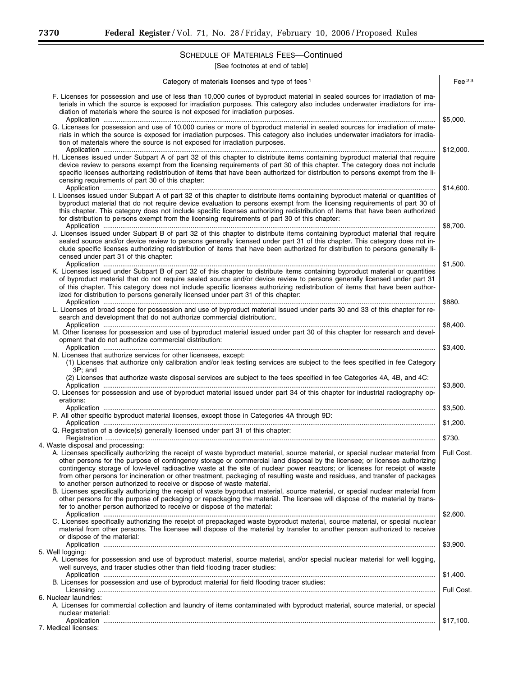$\equiv$ 

 $\overline{a}$ 

## SCHEDULE OF MATERIALS FEES—Continued

[See footnotes at end of table]

| Category of materials licenses and type of fees <sup>1</sup>                                                                                                                                                                                                                                                                                                                                                                                                                                                                                                                                                                                                                                                                          | Fee $^{23}$        |
|---------------------------------------------------------------------------------------------------------------------------------------------------------------------------------------------------------------------------------------------------------------------------------------------------------------------------------------------------------------------------------------------------------------------------------------------------------------------------------------------------------------------------------------------------------------------------------------------------------------------------------------------------------------------------------------------------------------------------------------|--------------------|
| F. Licenses for possession and use of less than 10,000 curies of byproduct material in sealed sources for irradiation of ma-<br>terials in which the source is exposed for irradiation purposes. This category also includes underwater irradiators for irra-<br>diation of materials where the source is not exposed for irradiation purposes.                                                                                                                                                                                                                                                                                                                                                                                       | \$5,000.           |
| G. Licenses for possession and use of 10,000 curies or more of byproduct material in sealed sources for irradiation of mate-<br>rials in which the source is exposed for irradiation purposes. This category also includes underwater irradiators for irradia-<br>tion of materials where the source is not exposed for irradiation purposes.                                                                                                                                                                                                                                                                                                                                                                                         |                    |
| H. Licenses issued under Subpart A of part 32 of this chapter to distribute items containing byproduct material that require<br>device review to persons exempt from the licensing requirements of part 30 of this chapter. The category does not include<br>specific licenses authorizing redistribution of items that have been authorized for distribution to persons exempt from the li-<br>censing requirements of part 30 of this chapter:                                                                                                                                                                                                                                                                                      | \$12,000.          |
| I. Licenses issued under Subpart A of part 32 of this chapter to distribute items containing byproduct material or quantities of<br>byproduct material that do not require device evaluation to persons exempt from the licensing requirements of part 30 of<br>this chapter. This category does not include specific licenses authorizing redistribution of items that have been authorized<br>for distribution to persons exempt from the licensing requirements of part 30 of this chapter:                                                                                                                                                                                                                                        | \$14,600.          |
| J. Licenses issued under Subpart B of part 32 of this chapter to distribute items containing byproduct material that require<br>sealed source and/or device review to persons generally licensed under part 31 of this chapter. This category does not in-<br>clude specific licenses authorizing redistribution of items that have been authorized for distribution to persons generally li-<br>censed under part 31 of this chapter:                                                                                                                                                                                                                                                                                                | \$8,700.           |
| K. Licenses issued under Subpart B of part 32 of this chapter to distribute items containing byproduct material or quantities<br>of byproduct material that do not require sealed source and/or device review to persons generally licensed under part 31<br>of this chapter. This category does not include specific licenses authorizing redistribution of items that have been author-<br>ized for distribution to persons generally licensed under part 31 of this chapter:                                                                                                                                                                                                                                                       | \$1,500.           |
| L. Licenses of broad scope for possession and use of byproduct material issued under parts 30 and 33 of this chapter for re-<br>search and development that do not authorize commercial distribution:.                                                                                                                                                                                                                                                                                                                                                                                                                                                                                                                                | \$880.             |
| M. Other licenses for possession and use of byproduct material issued under part 30 of this chapter for research and devel-<br>opment that do not authorize commercial distribution:                                                                                                                                                                                                                                                                                                                                                                                                                                                                                                                                                  | \$8,400.           |
| N. Licenses that authorize services for other licensees, except:<br>(1) Licenses that authorize only calibration and/or leak testing services are subject to the fees specified in fee Category<br>3P; and                                                                                                                                                                                                                                                                                                                                                                                                                                                                                                                            | \$3,400.           |
| (2) Licenses that authorize waste disposal services are subject to the fees specified in fee Categories 4A, 4B, and 4C:<br>O. Licenses for possession and use of byproduct material issued under part 34 of this chapter for industrial radiography op-                                                                                                                                                                                                                                                                                                                                                                                                                                                                               | \$3,800.           |
| erations:<br>P. All other specific byproduct material licenses, except those in Categories 4A through 9D:                                                                                                                                                                                                                                                                                                                                                                                                                                                                                                                                                                                                                             | \$3,500.           |
| Q. Registration of a device(s) generally licensed under part 31 of this chapter:                                                                                                                                                                                                                                                                                                                                                                                                                                                                                                                                                                                                                                                      | \$1,200.<br>\$730. |
| 4. Waste disposal and processing:                                                                                                                                                                                                                                                                                                                                                                                                                                                                                                                                                                                                                                                                                                     |                    |
| A. Licenses specifically authorizing the receipt of waste byproduct material, source material, or special nuclear material from<br>other persons for the purpose of contingency storage or commercial land disposal by the licensee; or licenses authorizing<br>contingency storage of low-level radioactive waste at the site of nuclear power reactors; or licenses for receipt of waste<br>from other persons for incineration or other treatment, packaging of resulting waste and residues, and transfer of packages<br>to another person authorized to receive or dispose of waste material.<br>B. Licenses specifically authorizing the receipt of waste byproduct material, source material, or special nuclear material from | Full Cost.         |
| other persons for the purpose of packaging or repackaging the material. The licensee will dispose of the material by trans-<br>fer to another person authorized to receive or dispose of the material:                                                                                                                                                                                                                                                                                                                                                                                                                                                                                                                                |                    |
| C. Licenses specifically authorizing the receipt of prepackaged waste byproduct material, source material, or special nuclear<br>material from other persons. The licensee will dispose of the material by transfer to another person authorized to receive<br>or dispose of the material:                                                                                                                                                                                                                                                                                                                                                                                                                                            | \$2,600.           |
| 5. Well logging:                                                                                                                                                                                                                                                                                                                                                                                                                                                                                                                                                                                                                                                                                                                      | \$3,900.           |
| A. Licenses for possession and use of byproduct material, source material, and/or special nuclear material for well logging,<br>well surveys, and tracer studies other than field flooding tracer studies:                                                                                                                                                                                                                                                                                                                                                                                                                                                                                                                            | \$1,400.           |
| B. Licenses for possession and use of byproduct material for field flooding tracer studies:                                                                                                                                                                                                                                                                                                                                                                                                                                                                                                                                                                                                                                           | Full Cost.         |
| 6. Nuclear laundries:<br>A. Licenses for commercial collection and laundry of items contaminated with byproduct material, source material, or special<br>nuclear material:                                                                                                                                                                                                                                                                                                                                                                                                                                                                                                                                                            |                    |
| 7. Medical licenses:                                                                                                                                                                                                                                                                                                                                                                                                                                                                                                                                                                                                                                                                                                                  | \$17,100.          |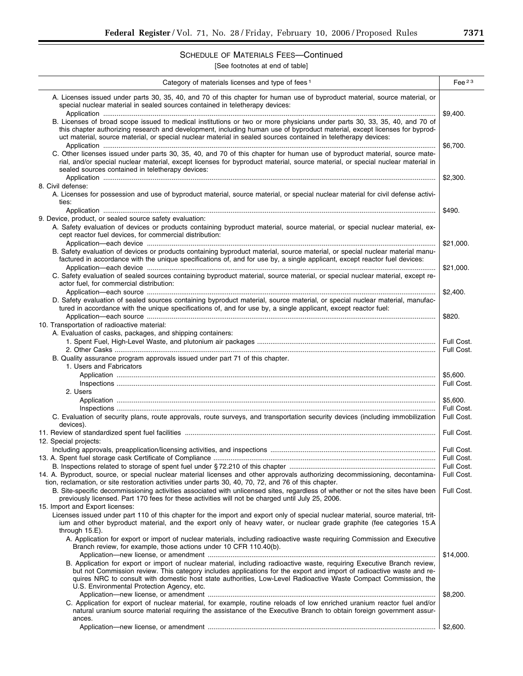## SCHEDULE OF MATERIALS FEES—Continued

[See footnotes at end of table]

| Category of materials licenses and type of fees <sup>1</sup>                                                                                                                                                                                                                                                                                                             | Fee $^{23}$ |
|--------------------------------------------------------------------------------------------------------------------------------------------------------------------------------------------------------------------------------------------------------------------------------------------------------------------------------------------------------------------------|-------------|
| A. Licenses issued under parts 30, 35, 40, and 70 of this chapter for human use of byproduct material, source material, or<br>special nuclear material in sealed sources contained in teletherapy devices:                                                                                                                                                               | \$9,400.    |
| B. Licenses of broad scope issued to medical institutions or two or more physicians under parts 30, 33, 35, 40, and 70 of<br>this chapter authorizing research and development, including human use of byproduct material, except licenses for byprod-<br>uct material, source material, or special nuclear material in sealed sources contained in teletherapy devices: | \$6,700.    |
| C. Other licenses issued under parts 30, 35, 40, and 70 of this chapter for human use of byproduct material, source mate-<br>rial, and/or special nuclear material, except licenses for byproduct material, source material, or special nuclear material in<br>sealed sources contained in teletherapy devices:                                                          |             |
| 8. Civil defense:                                                                                                                                                                                                                                                                                                                                                        | \$2.300.    |
| A. Licenses for possession and use of byproduct material, source material, or special nuclear material for civil defense activi-<br>ties:                                                                                                                                                                                                                                |             |
|                                                                                                                                                                                                                                                                                                                                                                          | \$490.      |
| 9. Device, product, or sealed source safety evaluation:<br>A. Safety evaluation of devices or products containing byproduct material, source material, or special nuclear material, ex-<br>cept reactor fuel devices, for commercial distribution.                                                                                                                       |             |
| B. Safety evaluation of devices or products containing byproduct material, source material, or special nuclear material manu-<br>factured in accordance with the unique specifications of, and for use by, a single applicant, except reactor fuel devices:                                                                                                              | \$21,000.   |
| C. Safety evaluation of sealed sources containing byproduct material, source material, or special nuclear material, except re-<br>actor fuel, for commercial distribution:                                                                                                                                                                                               | \$21,000.   |
| D. Safety evaluation of sealed sources containing byproduct material, source material, or special nuclear material, manufac-<br>tured in accordance with the unique specifications of, and for use by, a single applicant, except reactor fuel:                                                                                                                          | \$2,400.    |
| 10. Transportation of radioactive material:                                                                                                                                                                                                                                                                                                                              | \$820.      |
| A. Evaluation of casks, packages, and shipping containers:                                                                                                                                                                                                                                                                                                               | Full Cost.  |
|                                                                                                                                                                                                                                                                                                                                                                          | Full Cost.  |
| B. Quality assurance program approvals issued under part 71 of this chapter.                                                                                                                                                                                                                                                                                             |             |
| 1. Users and Fabricators                                                                                                                                                                                                                                                                                                                                                 |             |
|                                                                                                                                                                                                                                                                                                                                                                          | \$5,600.    |
| 2. Users                                                                                                                                                                                                                                                                                                                                                                 | Full Cost.  |
|                                                                                                                                                                                                                                                                                                                                                                          | \$5,600.    |
|                                                                                                                                                                                                                                                                                                                                                                          | Full Cost.  |
| C. Evaluation of security plans, route approvals, route surveys, and transportation security devices (including immobilization<br>devices).                                                                                                                                                                                                                              | Full Cost.  |
|                                                                                                                                                                                                                                                                                                                                                                          | Full Cost.  |
| 12. Special projects:                                                                                                                                                                                                                                                                                                                                                    |             |
|                                                                                                                                                                                                                                                                                                                                                                          | Full Cost.  |
|                                                                                                                                                                                                                                                                                                                                                                          | Full Cost.  |
| 14. A. Byproduct, source, or special nuclear material licenses and other approvals authorizing decommissioning, decontamina-                                                                                                                                                                                                                                             | Full Cost.  |
| tion, reclamation, or site restoration activities under parts 30, 40, 70, 72, and 76 of this chapter.<br>B. Site-specific decommissioning activities associated with unlicensed sites, regardless of whether or not the sites have been                                                                                                                                  | Full Cost.  |
| previously licensed. Part 170 fees for these activities will not be charged until July 25, 2006.<br>15. Import and Export licenses:                                                                                                                                                                                                                                      |             |
| Licenses issued under part 110 of this chapter for the import and export only of special nuclear material, source material, trit-                                                                                                                                                                                                                                        |             |
| ium and other byproduct material, and the export only of heavy water, or nuclear grade graphite (fee categories 15.A<br>through $15.E$ ).<br>A. Application for export or import of nuclear materials, including radioactive waste requiring Commission and Executive                                                                                                    |             |
| Branch review, for example, those actions under 10 CFR 110.40(b).                                                                                                                                                                                                                                                                                                        |             |
| B. Application for export or import of nuclear material, including radioactive waste, requiring Executive Branch review,                                                                                                                                                                                                                                                 | \$14,000.   |
| but not Commission review. This category includes applications for the export and import of radioactive waste and re-<br>quires NRC to consult with domestic host state authorities, Low-Level Radioactive Waste Compact Commission, the                                                                                                                                 |             |
| U.S. Environmental Protection Agency, etc.                                                                                                                                                                                                                                                                                                                               | \$8,200.    |
| C. Application for export of nuclear material, for example, routine reloads of low enriched uranium reactor fuel and/or<br>natural uranium source material requiring the assistance of the Executive Branch to obtain foreign government assur-<br>ances.                                                                                                                |             |
|                                                                                                                                                                                                                                                                                                                                                                          | \$2,600.    |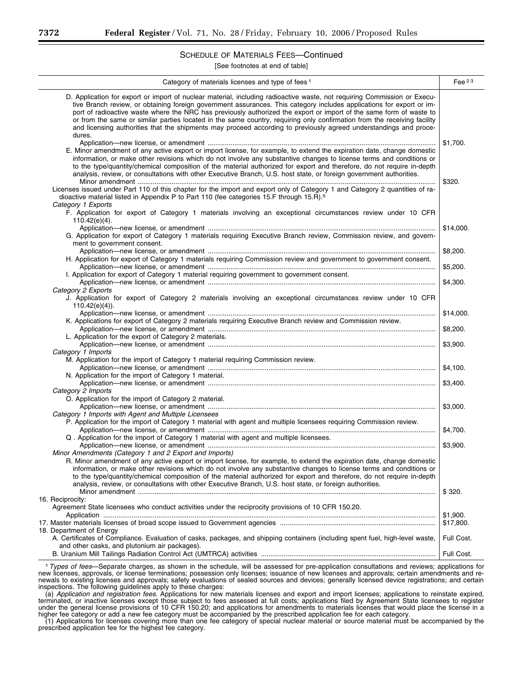## SCHEDULE OF MATERIALS FEES—Continued

[See footnotes at end of table]

| Category of materials licenses and type of fees <sup>1</sup>                                                                                                                                                                                                                                                                                                                                                                                                                                                                                                                                                                        | Fee $^{23}$           |
|-------------------------------------------------------------------------------------------------------------------------------------------------------------------------------------------------------------------------------------------------------------------------------------------------------------------------------------------------------------------------------------------------------------------------------------------------------------------------------------------------------------------------------------------------------------------------------------------------------------------------------------|-----------------------|
| D. Application for export or import of nuclear material, including radioactive waste, not requiring Commission or Execu-<br>tive Branch review, or obtaining foreign government assurances. This category includes applications for export or im-<br>port of radioactive waste where the NRC has previously authorized the export or import of the same form of waste to<br>or from the same or similar parties located in the same country, requiring only confirmation from the receiving facility<br>and licensing authorities that the shipments may proceed according to previously agreed understandings and proce-<br>dures. |                       |
| E. Minor amendment of any active export or import license, for example, to extend the expiration date, change domestic<br>information, or make other revisions which do not involve any substantive changes to license terms and conditions or<br>to the type/quantity/chemical composition of the material authorized for export and therefore, do not require in-depth<br>analysis, review, or consultations with other Executive Branch, U.S. host state, or foreign government authorities.                                                                                                                                     | \$1,700.<br>\$320.    |
| Licenses issued under Part 110 of this chapter for the import and export only of Category 1 and Category 2 quantities of ra-<br>dioactive material listed in Appendix P to Part 110 (fee categories 15.F through 15.R). <sup>5</sup><br>Category 1 Exports<br>F. Application for export of Category 1 materials involving an exceptional circumstances review under 10 CFR<br>$110.42(e)(4)$ .                                                                                                                                                                                                                                      |                       |
| G. Application for export of Category 1 materials requiring Executive Branch review, Commission review, and govern-<br>ment to government consent.                                                                                                                                                                                                                                                                                                                                                                                                                                                                                  | \$14,000.             |
| H. Application for export of Category 1 materials requiring Commission review and government to government consent.                                                                                                                                                                                                                                                                                                                                                                                                                                                                                                                 | \$8,200.              |
| I. Application for export of Category 1 material requiring government to government consent.                                                                                                                                                                                                                                                                                                                                                                                                                                                                                                                                        | \$5,200.<br>\$4,300.  |
| Category 2 Exports<br>J. Application for export of Category 2 materials involving an exceptional circumstances review under 10 CFR<br>$110.42(e)(4)$ ).                                                                                                                                                                                                                                                                                                                                                                                                                                                                             |                       |
| K. Applications for export of Category 2 materials requiring Executive Branch review and Commission review.                                                                                                                                                                                                                                                                                                                                                                                                                                                                                                                         | \$14,000.             |
| L. Application for the export of Category 2 materials.                                                                                                                                                                                                                                                                                                                                                                                                                                                                                                                                                                              | \$8,200.              |
| Category 1 Imports                                                                                                                                                                                                                                                                                                                                                                                                                                                                                                                                                                                                                  | \$3,900.              |
| M. Application for the import of Category 1 material requiring Commission review.<br>N. Application for the import of Category 1 material.                                                                                                                                                                                                                                                                                                                                                                                                                                                                                          | \$4,100.              |
| Category 2 Imports<br>O. Application for the import of Category 2 material.                                                                                                                                                                                                                                                                                                                                                                                                                                                                                                                                                         | \$3,400.              |
| Category 1 Imports with Agent and Multiple Licensees<br>P. Application for the import of Category 1 material with agent and multiple licensees requiring Commission review.                                                                                                                                                                                                                                                                                                                                                                                                                                                         | \$3,000.              |
| Q. Application for the import of Category 1 material with agent and multiple licensees.                                                                                                                                                                                                                                                                                                                                                                                                                                                                                                                                             | \$4,700.              |
| Minor Amendments (Category 1 and 2 Export and Imports)<br>R. Minor amendment of any active export or import license, for example, to extend the expiration date, change domestic                                                                                                                                                                                                                                                                                                                                                                                                                                                    | \$3,900.              |
| information, or make other revisions which do not involve any substantive changes to license terms and conditions or<br>to the type/quantity/chemical composition of the material authorized for export and therefore, do not require in-depth<br>analysis, review, or consultations with other Executive Branch, U.S. host state, or foreign authorities.                                                                                                                                                                                                                                                                          |                       |
| 16. Reciprocity:<br>Agreement State licensees who conduct activities under the reciprocity provisions of 10 CFR 150.20.                                                                                                                                                                                                                                                                                                                                                                                                                                                                                                             | \$320.                |
|                                                                                                                                                                                                                                                                                                                                                                                                                                                                                                                                                                                                                                     | \$1,900.<br>\$17,800. |
| 18. Department of Energy<br>A. Certificates of Compliance. Evaluation of casks, packages, and shipping containers (including spent fuel, high-level waste,                                                                                                                                                                                                                                                                                                                                                                                                                                                                          | Full Cost.            |
| and other casks, and plutonium air packages).                                                                                                                                                                                                                                                                                                                                                                                                                                                                                                                                                                                       | Full Cost.            |

1*Types of fees*—Separate charges, as shown in the schedule, will be assessed for pre-application consultations and reviews; applications for new licenses, approvals, or license terminations; possession only licenses; issuance of new licenses and approvals; certain amendments and renewals to existing licenses and approvals; safety evaluations of sealed sources and devices; generally licensed device registrations; and certain inspections. The following guidelines apply to these charges:

(a) *Application and registration fees.* Applications for new materials licenses and export and import licenses; applications to reinstate expired, terminated, or inactive licenses except those subject to fees assessed at full costs; applications filed by Agreement State licensees to register under the general license provisions of 10 CFR 150.20; and applications for amendments to materials licenses that would place the license in a higher fee category or add a new fee category must be accompanied by the prescribed application fee for each category.

(1) Applications for licenses covering more than one fee category of special nuclear material or source material must be accompanied by the prescribed application fee for the highest fee category.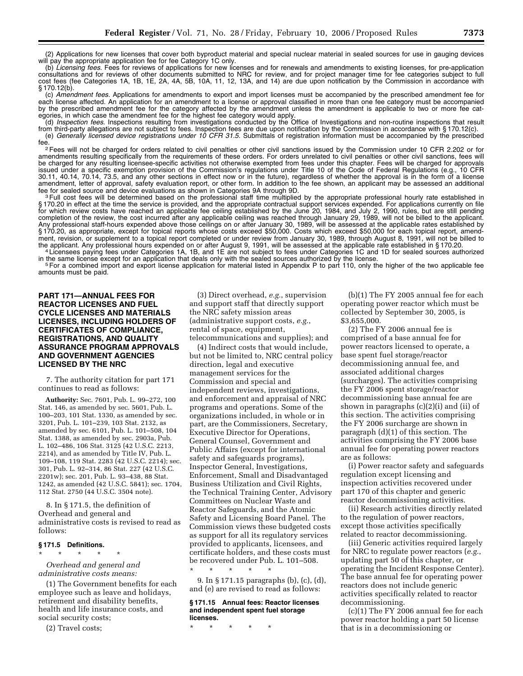(2) Applications for new licenses that cover both byproduct material and special nuclear material in sealed sources for use in gauging devices will pay the appropriate application fee for fee Category 1C only.

(b) *Licensing fees.* Fees for reviews of applications for new licenses and for renewals and amendments to existing licenses, for pre-application consultations and for reviews of other documents submitted to NRC for review, and for project manager time for fee categories subject to full cost fees (fee Categories 1A, 1B, 1E, 2A, 4A, 5B, 10A, 11, 12, 13A, and 14) are due upon notification by the Commission in accordance with § 170.12(b).

(c) *Amendment fees.* Applications for amendments to export and import licenses must be accompanied by the prescribed amendment fee for each license affected. An application for an amendment to a license or approval classified in more than one fee category must be accompanied by the prescribed amendment fee for the category affected by the amendment unless the amendment is applicable to two or more fee categories, in which case the amendment fee for the highest fee category would apply.

(d) *Inspection fees.* Inspections resulting from investigations conducted by the Office of Investigations and non-routine inspections that result from third-party allegations are not subject to fees. Inspection fees are due upon notification by the Commission in accordance with § 170.12(c). (e) *Generally licensed device registrations under 10 CFR 31.5.* Submittals of registration information must be accompanied by the prescribed

fee.<br><sup>2</sup>Fees will not be charged for orders related to civil penalties or other civil sanctions issued by the Commission under 10 CFR 2.202 or for<br>A crisis in penalties or other civil sanctions, fees will amendments resulting specifically from the requirements of these orders. For orders unrelated to civil penalties or other civil sanctions, fees will be charged for any resulting licensee-specific activities not otherwise exempted from fees under this chapter. Fees will be charged for approvals issued under a specific exemption provision of the Commission's regulations under Title 10 of the Code of Federal Regulations (e.g., 10 CFR 30.11, 40.14, 70.14, 73.5, and any other sections in effect now or in the future), regardless of whether the approval is in the form of a license amendment, letter of approval, safety evaluation report, or other form. In addition to the fee shown, an applicant may be assessed an additional<br>fee for sealed source and device evaluations as shown in Categories 9A throug

<sup>3</sup> Full cost fees will be determined based on the professional staff time multiplied by the appropriate professional hourly rate established in 170.20 in effect at the time the service is provided, and the appropriate contractual support services expended. For applications currently on file for which review costs have reached an applicable fee ceiling established by the June 20, 1984, and July 2, 1990, rules, but are still pending completion of the review, the cost incurred after any applicable ceiling was reached through January 29, 1989, will not be billed to the applicant. Any professional staff-hours expended above those ceilings on or after January 30, 1989, will be assessed at the applicable rates established by § 170.20, as appropriate, except for topical reports whose costs exceed \$50,000. Costs which exceed \$50,000 for each topical report, amendment, revision, or supplement to a topical report completed or under review from January 30, 1989, through August 8, 1991, will not be billed to<br>the applicant. Any professional hours expended on or after August 9, 1991, wi

<sup>4</sup> Licensees paying fees under Categories 1A, 1B, and 1E are not subject to fees under Categories 1C and 1D for sealed sources authorized in the same license except for an application that deals only with the sealed sourc

<sup>5</sup> For a combined import and export license application for material listed in Appendix P to part 110, only the higher of the two applicable fee amounts must be paid.

#### **PART 171—ANNUAL FEES FOR REACTOR LICENSES AND FUEL CYCLE LICENSES AND MATERIALS LICENSES, INCLUDING HOLDERS OF CERTIFICATES OF COMPLIANCE, REGISTRATIONS, AND QUALITY ASSURANCE PROGRAM APPROVALS AND GOVERNMENT AGENCIES LICENSED BY THE NRC**

7. The authority citation for part 171 continues to read as follows:

**Authority:** Sec. 7601, Pub. L. 99–272, 100 Stat. 146, as amended by sec. 5601, Pub. L. 100–203, 101 Stat. 1330, as amended by sec. 3201, Pub. L. 101–239, 103 Stat. 2132, as amended by sec. 6101, Pub. L. 101–508, 104 Stat. 1388, as amended by sec. 2903a, Pub. L. 102–486, 106 Stat. 3125 (42 U.S.C. 2213, 2214), and as amended by Title IV, Pub. L. 109–108, 119 Stat. 2283 (42 U.S.C. 2214); sec. 301, Pub. L. 92–314, 86 Stat. 227 (42 U.S.C. 2201w); sec. 201, Pub. L. 93–438, 88 Stat. 1242, as amended (42 U.S.C. 5841); sec. 1704, 112 Stat. 2750 (44 U.S.C. 3504 note).

8. In § 171.5, the definition of Overhead and general and administrative costs is revised to read as follows:

#### **§ 171.5 Definitions.**

\* \* \* \* \* *Overhead and general and* 

*administrative costs means:*  (1) The Government benefits for each employee such as leave and holidays, retirement and disability benefits, health and life insurance costs, and social security costs;

(2) Travel costs;

(3) Direct overhead, *e.g.*, supervision and support staff that directly support the NRC safety mission areas (administrative support costs, *e.g.*, rental of space, equipment, telecommunications and supplies); and

(4) Indirect costs that would include, but not be limited to, NRC central policy direction, legal and executive management services for the Commission and special and independent reviews, investigations, and enforcement and appraisal of NRC programs and operations. Some of the organizations included, in whole or in part, are the Commissioners, Secretary, Executive Director for Operations, General Counsel, Government and Public Affairs (except for international safety and safeguards programs), Inspector General, Investigations, Enforcement, Small and Disadvantaged Business Utilization and Civil Rights, the Technical Training Center, Advisory Committees on Nuclear Waste and Reactor Safeguards, and the Atomic Safety and Licensing Board Panel. The Commission views these budgeted costs as support for all its regulatory services provided to applicants, licensees, and certificate holders, and these costs must be recovered under Pub. L. 101–508.

9. In § 171.15 paragraphs (b), (c), (d), and (e) are revised to read as follows:

#### **§ 171.15 Annual fees: Reactor licenses and independent spent fuel storage licenses.**

\* \* \* \* \*

\* \* \* \* \*

(b)(1) The FY 2005 annual fee for each operating power reactor which must be collected by September 30, 2005, is \$3,655,000.

(2) The FY 2006 annual fee is comprised of a base annual fee for power reactors licensed to operate, a base spent fuel storage/reactor decommissioning annual fee, and associated additional charges (surcharges). The activities comprising the FY 2006 spent storage/reactor decommissioning base annual fee are shown in paragraphs (c)(2)(i) and (ii) of this section. The activities comprising the FY 2006 surcharge are shown in paragraph (d)(1) of this section. The activities comprising the FY 2006 base annual fee for operating power reactors are as follows:

(i) Power reactor safety and safeguards regulation except licensing and inspection activities recovered under part 170 of this chapter and generic reactor decommissioning activities.

(ii) Research activities directly related to the regulation of power reactors, except those activities specifically related to reactor decommissioning.

(iii) Generic activities required largely for NRC to regulate power reactors (*e.g.*, updating part 50 of this chapter, or operating the Incident Response Center). The base annual fee for operating power reactors does not include generic activities specifically related to reactor decommissioning.

(c)(1) The FY 2006 annual fee for each power reactor holding a part 50 license that is in a decommissioning or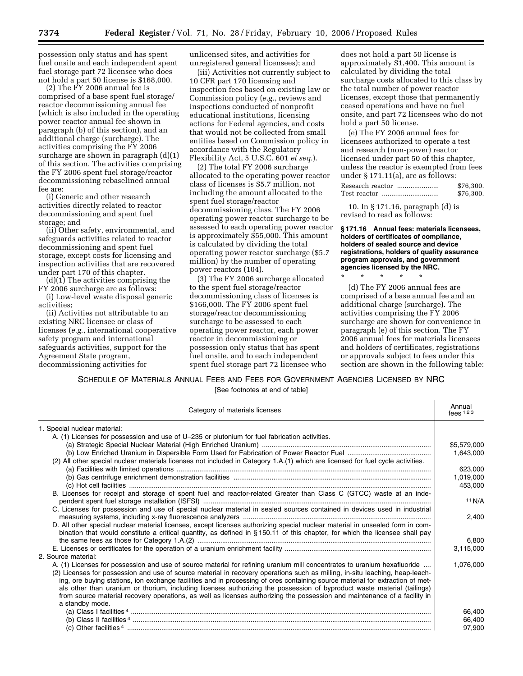possession only status and has spent fuel onsite and each independent spent fuel storage part 72 licensee who does not hold a part 50 license is \$168,000.

 $(2)$  The FY 2006 annual fee is comprised of a base spent fuel storage/ reactor decommissioning annual fee (which is also included in the operating power reactor annual fee shown in paragraph (b) of this section), and an additional charge (surcharge). The activities comprising the FY 2006 surcharge are shown in paragraph (d)(1) of this section. The activities comprising the FY 2006 spent fuel storage/reactor decommissioning rebaselined annual fee are:

(i) Generic and other research activities directly related to reactor decommissioning and spent fuel storage; and

(ii) Other safety, environmental, and safeguards activities related to reactor decommissioning and spent fuel storage, except costs for licensing and inspection activities that are recovered under part 170 of this chapter.

(d)(1) The activities comprising the FY 2006 surcharge are as follows:

(i) Low-level waste disposal generic activities;

(ii) Activities not attributable to an existing NRC licensee or class of licenses (*e.g.*, international cooperative safety program and international safeguards activities, support for the Agreement State program, decommissioning activities for

unlicensed sites, and activities for unregistered general licensees); and

(iii) Activities not currently subject to 10 CFR part 170 licensing and inspection fees based on existing law or Commission policy (*e.g.*, reviews and inspections conducted of nonprofit educational institutions, licensing actions for Federal agencies, and costs that would not be collected from small entities based on Commission policy in accordance with the Regulatory Flexibility Act, 5 U.S.C. 601 *et seq.*).

(2) The total FY 2006 surcharge allocated to the operating power reactor class of licenses is \$5.7 million, not including the amount allocated to the spent fuel storage/reactor decommissioning class. The FY 2006 operating power reactor surcharge to be assessed to each operating power reactor is approximately \$55,000. This amount is calculated by dividing the total operating power reactor surcharge (\$5.7 million) by the number of operating power reactors (104).

(3) The FY 2006 surcharge allocated to the spent fuel storage/reactor decommissioning class of licenses is \$166,000. The FY 2006 spent fuel storage/reactor decommissioning surcharge to be assessed to each operating power reactor, each power reactor in decommissioning or possession only status that has spent fuel onsite, and to each independent spent fuel storage part 72 licensee who

does not hold a part 50 license is approximately \$1,400. This amount is calculated by dividing the total surcharge costs allocated to this class by the total number of power reactor licenses, except those that permanently ceased operations and have no fuel onsite, and part 72 licensees who do not hold a part 50 license.

(e) The FY 2006 annual fees for licensees authorized to operate a test and research (non-power) reactor licensed under part 50 of this chapter, unless the reactor is exempted from fees under § 171.11(a), are as follows:

| Research reactor | \$76,300. |
|------------------|-----------|
|                  | \$76,300. |

10. In § 171.16, paragraph (d) is revised to read as follows:

\* \* \* \* \*

**§ 171.16 Annual fees: materials licensees, holders of certificates of compliance, holders of sealed source and device registrations, holders of quality assurance program approvals, and government agencies licensed by the NRC.** 

(d) The FY 2006 annual fees are comprised of a base annual fee and an additional charge (surcharge). The activities comprising the FY 2006 surcharge are shown for convenience in paragraph (e) of this section. The FY 2006 annual fees for materials licensees and holders of certificates, registrations or approvals subject to fees under this section are shown in the following table:

SCHEDULE OF MATERIALS ANNUAL FEES AND FEES FOR GOVERNMENT AGENCIES LICENSED BY NRC

[See footnotes at end of table]

| Category of materials licenses                                                                                                                                                                                                                           | Annual<br>fees $123$ |
|----------------------------------------------------------------------------------------------------------------------------------------------------------------------------------------------------------------------------------------------------------|----------------------|
| 1. Special nuclear material:                                                                                                                                                                                                                             |                      |
| A. (1) Licenses for possession and use of U-235 or plutonium for fuel fabrication activities.                                                                                                                                                            |                      |
|                                                                                                                                                                                                                                                          | \$5,579,000          |
|                                                                                                                                                                                                                                                          | 1,643,000            |
| (2) All other special nuclear materials licenses not included in Category 1.A.(1) which are licensed for fuel cycle activities.                                                                                                                          |                      |
|                                                                                                                                                                                                                                                          | 623.000              |
|                                                                                                                                                                                                                                                          | 1,019,000            |
|                                                                                                                                                                                                                                                          | 453,000              |
| B. Licenses for receipt and storage of spent fuel and reactor-related Greater than Class C (GTCC) waste at an inde-                                                                                                                                      | 11 N/A               |
| C. Licenses for possession and use of special nuclear material in sealed sources contained in devices used in industrial                                                                                                                                 |                      |
|                                                                                                                                                                                                                                                          | 2,400                |
| D. All other special nuclear material licenses, except licenses authorizing special nuclear material in unsealed form in com-                                                                                                                            |                      |
| bination that would constitute a critical quantity, as defined in §150.11 of this chapter, for which the licensee shall pay                                                                                                                              |                      |
|                                                                                                                                                                                                                                                          | 6,800                |
|                                                                                                                                                                                                                                                          | 3,115,000            |
| 2. Source material:                                                                                                                                                                                                                                      |                      |
| A. (1) Licenses for possession and use of source material for refining uranium mill concentrates to uranium hexafluoride                                                                                                                                 | 1,076,000            |
| (2) Licenses for possession and use of source material in recovery operations such as milling, in-situ leaching, heap-leach-                                                                                                                             |                      |
| ing, ore buying stations, ion exchange facilities and in processing of ores containing source material for extraction of met-<br>als other than uranium or thorium, including licenses authorizing the possession of byproduct waste material (tailings) |                      |
| from source material recovery operations, as well as licenses authorizing the possession and maintenance of a facility in                                                                                                                                |                      |
| a standby mode.                                                                                                                                                                                                                                          |                      |
|                                                                                                                                                                                                                                                          | 66,400               |
|                                                                                                                                                                                                                                                          | 66,400               |
|                                                                                                                                                                                                                                                          | 97,900               |
|                                                                                                                                                                                                                                                          |                      |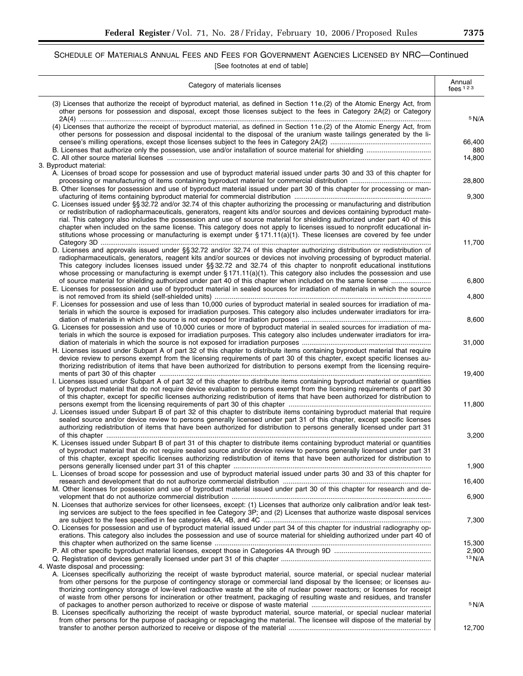## SCHEDULE OF MATERIALS ANNUAL FEES AND FEES FOR GOVERNMENT AGENCIES LICENSED BY NRC—Continued [See footnotes at end of table]

| Category of materials licenses                                                                                                                                                                                                                                                                                                                                                                                                                                                                                 | Annual<br>fees $123$ |
|----------------------------------------------------------------------------------------------------------------------------------------------------------------------------------------------------------------------------------------------------------------------------------------------------------------------------------------------------------------------------------------------------------------------------------------------------------------------------------------------------------------|----------------------|
| (3) Licenses that authorize the receipt of byproduct material, as defined in Section 11e.(2) of the Atomic Energy Act, from<br>other persons for possession and disposal, except those licenses subject to the fees in Category 2A(2) or Category                                                                                                                                                                                                                                                              | <sup>5</sup> N/A     |
| (4) Licenses that authorize the receipt of byproduct material, as defined in Section 11e.(2) of the Atomic Energy Act, from<br>other persons for possession and disposal incidental to the disposal of the uranium waste tailings generated by the li-                                                                                                                                                                                                                                                         | 66,400               |
| 3. Byproduct material:                                                                                                                                                                                                                                                                                                                                                                                                                                                                                         | 880<br>14,800        |
| A. Licenses of broad scope for possession and use of byproduct material issued under parts 30 and 33 of this chapter for                                                                                                                                                                                                                                                                                                                                                                                       | 28,800               |
| B. Other licenses for possession and use of byproduct material issued under part 30 of this chapter for processing or man-<br>C. Licenses issued under §§ 32.72 and/or 32.74 of this chapter authorizing the processing or manufacturing and distribution                                                                                                                                                                                                                                                      | 9,300                |
| or redistribution of radiopharmaceuticals, generators, reagent kits and/or sources and devices containing byproduct mate-<br>rial. This category also includes the possession and use of source material for shielding authorized under part 40 of this<br>chapter when included on the same license. This category does not apply to licenses issued to nonprofit educational in-<br>stitutions whose processing or manufacturing is exempt under $\S 171.11(a)(1)$ . These licenses are covered by fee under |                      |
| D. Licenses and approvals issued under §§ 32.72 and/or 32.74 of this chapter authorizing distribution or redistribution of<br>radiopharmaceuticals, generators, reagent kits and/or sources or devices not involving processing of byproduct material.<br>This category includes licenses issued under §§ 32.72 and 32.74 of this chapter to nonprofit educational institutions<br>whose processing or manufacturing is exempt under $\S 171.11(a)(1)$ . This category also includes the possession and use    | 11,700               |
| of source material for shielding authorized under part 40 of this chapter when included on the same license<br>E. Licenses for possession and use of byproduct material in sealed sources for irradiation of materials in which the source                                                                                                                                                                                                                                                                     | 6,800                |
| F. Licenses for possession and use of less than 10,000 curies of byproduct material in sealed sources for irradiation of ma-<br>terials in which the source is exposed for irradiation purposes. This category also includes underwater irradiators for irra-                                                                                                                                                                                                                                                  | 4,800                |
| G. Licenses for possession and use of 10,000 curies or more of byproduct material in sealed sources for irradiation of ma-<br>terials in which the source is exposed for irradiation purposes. This category also includes underwater irradiators for irra-                                                                                                                                                                                                                                                    | 8,600                |
| H. Licenses issued under Subpart A of part 32 of this chapter to distribute items containing byproduct material that require<br>device review to persons exempt from the licensing requirements of part 30 of this chapter, except specific licenses au-<br>thorizing redistribution of items that have been authorized for distribution to persons exempt from the licensing require-                                                                                                                         | 31,000               |
| I. Licenses issued under Subpart A of part 32 of this chapter to distribute items containing byproduct material or quantities<br>of byproduct material that do not require device evaluation to persons exempt from the licensing requirements of part 30<br>of this chapter, except for specific licenses authorizing redistribution of items that have been authorized for distribution to                                                                                                                   | 19,400               |
| J. Licenses issued under Subpart B of part 32 of this chapter to distribute items containing byproduct material that require<br>sealed source and/or device review to persons generally licensed under part 31 of this chapter, except specific licenses<br>authorizing redistribution of items that have been authorized for distribution to persons generally licensed under part 31                                                                                                                         | 11,800               |
| K. Licenses issued under Subpart B of part 31 of this chapter to distribute items containing byproduct material or quantities<br>of byproduct material that do not require sealed source and/or device review to persons generally licensed under part 31<br>of this chapter, except specific licenses authorizing redistribution of items that have been authorized for distribution to                                                                                                                       | 3,200                |
| L. Licenses of broad scope for possession and use of byproduct material issued under parts 30 and 33 of this chapter for                                                                                                                                                                                                                                                                                                                                                                                       | 1,900                |
| M. Other licenses for possession and use of byproduct material issued under part 30 of this chapter for research and de-                                                                                                                                                                                                                                                                                                                                                                                       | 16,400               |
| N. Licenses that authorize services for other licensees, except: (1) Licenses that authorize only calibration and/or leak test-<br>ing services are subject to the fees specified in fee Category 3P; and (2) Licenses that authorize waste disposal services                                                                                                                                                                                                                                                  | 6,900                |
| O. Licenses for possession and use of byproduct material issued under part 34 of this chapter for industrial radiography op-<br>erations. This category also includes the possession and use of source material for shielding authorized under part 40 of                                                                                                                                                                                                                                                      | 7,300                |
|                                                                                                                                                                                                                                                                                                                                                                                                                                                                                                                | 15,300<br>2,900      |
| 4. Waste disposal and processing:<br>A. Licenses specifically authorizing the receipt of waste byproduct material, source material, or special nuclear material<br>from other persons for the purpose of contingency storage or commercial land disposal by the licensee; or licenses au-<br>thorizing contingency storage of low-level radioactive waste at the site of nuclear power reactors; or licenses for receipt                                                                                       | 13 N/A               |
| of waste from other persons for incineration or other treatment, packaging of resulting waste and residues, and transfer<br>B. Licenses specifically authorizing the receipt of waste byproduct material, source material, or special nuclear material                                                                                                                                                                                                                                                         | 5 N/A                |
| from other persons for the purpose of packaging or repackaging the material. The licensee will dispose of the material by                                                                                                                                                                                                                                                                                                                                                                                      | 12,700               |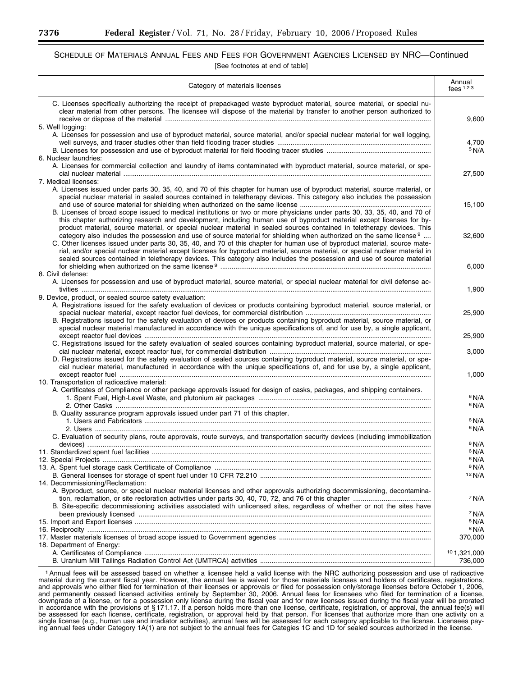## SCHEDULE OF MATERIALS ANNUAL FEES AND FEES FOR GOVERNMENT AGENCIES LICENSED BY NRC—Continued [See footnotes at end of table]

| Category of materials licenses                                                                                                                                                                                                                                                                                                                                                                                                                                                                                          | Annual<br>fees $123$                 |
|-------------------------------------------------------------------------------------------------------------------------------------------------------------------------------------------------------------------------------------------------------------------------------------------------------------------------------------------------------------------------------------------------------------------------------------------------------------------------------------------------------------------------|--------------------------------------|
| C. Licenses specifically authorizing the receipt of prepackaged waste byproduct material, source material, or special nu-<br>clear material from other persons. The licensee will dispose of the material by transfer to another person authorized to                                                                                                                                                                                                                                                                   | 9,600                                |
| 5. Well logging:<br>A. Licenses for possession and use of byproduct material, source material, and/or special nuclear material for well logging,                                                                                                                                                                                                                                                                                                                                                                        |                                      |
|                                                                                                                                                                                                                                                                                                                                                                                                                                                                                                                         | 4,700<br>5 N/A                       |
| 6. Nuclear laundries:<br>A. Licenses for commercial collection and laundry of items contaminated with byproduct material, source material, or spe-                                                                                                                                                                                                                                                                                                                                                                      | 27,500                               |
| 7. Medical licenses:                                                                                                                                                                                                                                                                                                                                                                                                                                                                                                    |                                      |
| A. Licenses issued under parts 30, 35, 40, and 70 of this chapter for human use of byproduct material, source material, or<br>special nuclear material in sealed sources contained in teletherapy devices. This category also includes the possession<br>B. Licenses of broad scope issued to medical institutions or two or more physicians under parts 30, 33, 35, 40, and 70 of                                                                                                                                      | 15,100                               |
| this chapter authorizing research and development, including human use of byproduct material except licenses for by-<br>product material, source material, or special nuclear material in sealed sources contained in teletherapy devices. This                                                                                                                                                                                                                                                                         |                                      |
| category also includes the possession and use of source material for shielding when authorized on the same license <sup>9</sup><br>C. Other licenses issued under parts 30, 35, 40, and 70 of this chapter for human use of byproduct material, source mate-<br>rial, and/or special nuclear material except licenses for byproduct material, source material, or special nuclear material in<br>sealed sources contained in teletherapy devices. This category also includes the possession and use of source material | 32,600                               |
| 8. Civil defense:                                                                                                                                                                                                                                                                                                                                                                                                                                                                                                       | 6,000                                |
| A. Licenses for possession and use of byproduct material, source material, or special nuclear material for civil defense ac-                                                                                                                                                                                                                                                                                                                                                                                            | 1,900                                |
| 9. Device, product, or sealed source safety evaluation:<br>A. Registrations issued for the safety evaluation of devices or products containing byproduct material, source material, or                                                                                                                                                                                                                                                                                                                                  | 25,900                               |
| B. Registrations issued for the safety evaluation of devices or products containing byproduct material, source material, or<br>special nuclear material manufactured in accordance with the unique specifications of, and for use by, a single applicant,                                                                                                                                                                                                                                                               | 25,900                               |
| C. Registrations issued for the safety evaluation of sealed sources containing byproduct material, source material, or spe-                                                                                                                                                                                                                                                                                                                                                                                             | 3,000                                |
| D. Registrations issued for the safety evaluation of sealed sources containing byproduct material, source material, or spe-<br>cial nuclear material, manufactured in accordance with the unique specifications of, and for use by, a single applicant,                                                                                                                                                                                                                                                                 |                                      |
| 10. Transportation of radioactive material:                                                                                                                                                                                                                                                                                                                                                                                                                                                                             | 1,000                                |
| A. Certificates of Compliance or other package approvals issued for design of casks, packages, and shipping containers.                                                                                                                                                                                                                                                                                                                                                                                                 | 6 N/A                                |
|                                                                                                                                                                                                                                                                                                                                                                                                                                                                                                                         | 6 N/A                                |
| B. Quality assurance program approvals issued under part 71 of this chapter.                                                                                                                                                                                                                                                                                                                                                                                                                                            | 6 N/A                                |
|                                                                                                                                                                                                                                                                                                                                                                                                                                                                                                                         | 6 N/A                                |
| C. Evaluation of security plans, route approvals, route surveys, and transportation security devices (including immobilization                                                                                                                                                                                                                                                                                                                                                                                          | 6 N/A                                |
|                                                                                                                                                                                                                                                                                                                                                                                                                                                                                                                         | 6 N/A                                |
|                                                                                                                                                                                                                                                                                                                                                                                                                                                                                                                         | $6$ N/A<br><sup>6</sup> N/A          |
| 14. Decommissioning/Reclamation:                                                                                                                                                                                                                                                                                                                                                                                                                                                                                        | 12 N/A                               |
| A. Byproduct, source, or special nuclear material licenses and other approvals authorizing decommissioning, decontamina-                                                                                                                                                                                                                                                                                                                                                                                                | 7 N/A                                |
| B. Site-specific decommissioning activities associated with unlicensed sites, regardless of whether or not the sites have                                                                                                                                                                                                                                                                                                                                                                                               |                                      |
|                                                                                                                                                                                                                                                                                                                                                                                                                                                                                                                         | <sup>7</sup> N/A<br><sup>8</sup> N/A |
|                                                                                                                                                                                                                                                                                                                                                                                                                                                                                                                         | <sup>8</sup> N/A                     |
| 18. Department of Energy:                                                                                                                                                                                                                                                                                                                                                                                                                                                                                               | 370,000                              |
|                                                                                                                                                                                                                                                                                                                                                                                                                                                                                                                         | 101,321,000<br>736,000               |

1Annual fees will be assessed based on whether a licensee held a valid license with the NRC authorizing possession and use of radioactive material during the current fiscal year. However, the annual fee is waived for those materials licenses and holders of certificates, registrations, and approvals who either filed for termination of their licenses or approvals or filed for possession only/storage licenses before October 1, 2006, and permanently ceased licensed activities entirely by September 30, 2006. Annual fees for licensees who filed for termination of a license, downgrade of a license, or for a possession only license during the fiscal year and for new licenses issued during the fiscal year will be prorated in accordance with the provisions of § 171.17. If a person holds more than one license, certificate, registration, or approval, the annual fee(s) will be assessed for each license, certificate, registration, or approval held by that person. For licenses that authorize more than one activity on a single license (e.g., human use and irradiator activities), annual fees will be assessed for each category applicable to the license. Licensees paying annual fees under Category 1A(1) are not subject to the annual fees for Categies 1C and 1D for sealed sources authorized in the license.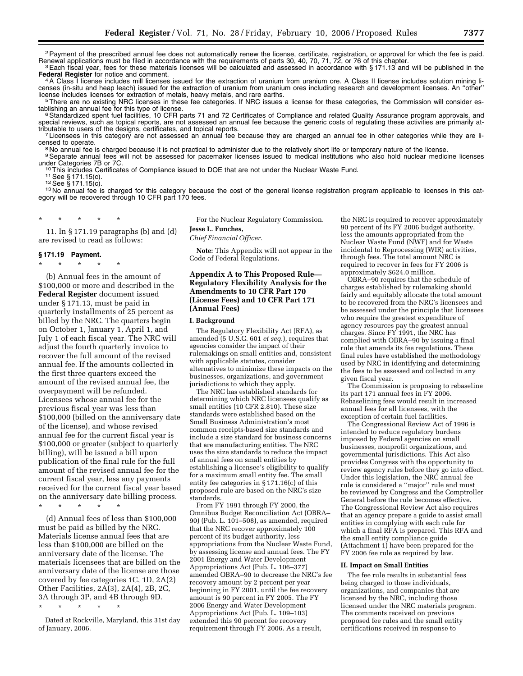<sup>2</sup> Payment of the prescribed annual fee does not automatically renew the license, certificate, registration, or approval for which the fee is paid.<br>Renewal applications must be filed in accordance with the requirements o

<sup>3</sup> Each fiscal year, fees for these materials licenses will be calculated and assessed in accordance with §171.13 and will be published in the **Federal Register** for notice and comment. <sup>4</sup>A Class I license includes mill licenses issued for the extraction of uranium from uranium ore. A Class II license includes solution mining li-

censes (in-situ and heap leach) issued for the extraction of uranium from uranium ores including research and development licenses. An "other"<br>license includes licenses for extraction of metals, heavy metals, and rare eart license includes licenses for extraction of metals, heavy metals, and rare earths.<br><sup>5</sup>There are no existing NRC licenses in these fee categories. If NRC issues a license for these categories, the Commission will consider e

tablishing an annual fee for this type of license.<br><sup>6</sup>Standardized spent fuel facilities, 10 CFR parts 71 and 72 Certificates of Compliance and related Quality Assurance program approvals, and

special reviews, such as topical reports, are not assessed an annual fee because the generic costs of regulating these activities are primarily at-<br>tributable to users of the designs, certificates, and topical reports.

 $\sigma$ Licensees in this category are not assessed an annual fee because they are charged an annual fee in other categories while they are licensed to operate.<br><sup>8</sup>No annual fee is charged because it is not practical to administer due to the relatively short life or temporary nature of the license.<br><sup>9</sup>Separate annual fees will not be assessed for pacemaker licen

under Categories 7B or 7C.<br><sup>10</sup> This includes Certificates of Compliance issued to DOE that are not under the Nuclear Waste Fund.<br><sup>11</sup> See § 171.15(c).<br><sup>12</sup> See § 171.15(c).<br><sup>13</sup> No annual fee is charged for this category

egory will be recovered through 10 CFR part 170 fees.

\* \* \* \* \*

11. In § 171.19 paragraphs (b) and (d) are revised to read as follows:

#### **§ 171.19 Payment.**

\* \* \* \* \*

(b) Annual fees in the amount of \$100,000 or more and described in the **Federal Register** document issued under § 171.13, must be paid in quarterly installments of 25 percent as billed by the NRC. The quarters begin on October 1, January 1, April 1, and July 1 of each fiscal year. The NRC will adjust the fourth quarterly invoice to recover the full amount of the revised annual fee. If the amounts collected in the first three quarters exceed the amount of the revised annual fee, the overpayment will be refunded. Licensees whose annual fee for the previous fiscal year was less than \$100,000 (billed on the anniversary date of the license), and whose revised annual fee for the current fiscal year is \$100,000 or greater (subject to quarterly billing), will be issued a bill upon publication of the final rule for the full amount of the revised annual fee for the current fiscal year, less any payments received for the current fiscal year based on the anniversary date billing process.

\* \* \* \* \* (d) Annual fees of less than \$100,000 must be paid as billed by the NRC. Materials license annual fees that are less than \$100,000 are billed on the anniversary date of the license. The materials licensees that are billed on the anniversary date of the license are those covered by fee categories 1C, 1D, 2A(2)

Other Facilities, 2A(3), 2A(4), 2B, 2C, 3A through 3P, and 4B through 9D.

\* \* \* \* \*

Dated at Rockville, Maryland, this 31st day of January, 2006.

For the Nuclear Regulatory Commission. **Jesse L. Funches,** 

*Chief Financial Officer.* 

**Note:** This Appendix will not appear in the Code of Federal Regulations.

#### **Appendix A to This Proposed Rule— Regulatory Flexibility Analysis for the Amendments to 10 CFR Part 170 (License Fees) and 10 CFR Part 171 (Annual Fees)**

#### **I. Background**

The Regulatory Flexibility Act (RFA), as amended (5 U.S.C. 601 *et seq.*), requires that agencies consider the impact of their rulemakings on small entities and, consistent with applicable statutes, consider alternatives to minimize these impacts on the businesses, organizations, and government jurisdictions to which they apply.

The NRC has established standards for determining which NRC licensees qualify as small entities (10 CFR 2.810). These size standards were established based on the Small Business Administration's most common receipts-based size standards and include a size standard for business concerns that are manufacturing entities. The NRC uses the size standards to reduce the impact of annual fees on small entities by establishing a licensee's eligibility to qualify for a maximum small entity fee. The small entity fee categories in § 171.16(c) of this proposed rule are based on the NRC's size standards.

From FY 1991 through FY 2000, the Omnibus Budget Reconciliation Act (OBRA– 90) (Pub. L. 101–508), as amended, required that the NRC recover approximately 100 percent of its budget authority, less appropriations from the Nuclear Waste Fund, by assessing license and annual fees. The FY 2001 Energy and Water Development Appropriations Act (Pub. L. 106–377) amended OBRA–90 to decrease the NRC's fee recovery amount by 2 percent per year beginning in FY 2001, until the fee recovery amount is 90 percent in FY 2005. The FY 2006 Energy and Water Development Appropriations Act (Pub. L. 109–103) extended this 90 percent fee recovery requirement through FY 2006. As a result,

the NRC is required to recover approximately 90 percent of its FY 2006 budget authority, less the amounts appropriated from the Nuclear Waste Fund (NWF) and for Waste incidental to Reprocessing (WIR) activities, through fees. The total amount NRC is required to recover in fees for FY 2006 is approximately \$624.0 million.

OBRA–90 requires that the schedule of charges established by rulemaking should fairly and equitably allocate the total amount to be recovered from the NRC's licensees and be assessed under the principle that licensees who require the greatest expenditure of agency resources pay the greatest annual charges. Since FY 1991, the NRC has complied with OBRA–90 by issuing a final rule that amends its fee regulations. These final rules have established the methodology used by NRC in identifying and determining the fees to be assessed and collected in any given fiscal year.

The Commission is proposing to rebaseline its part 171 annual fees in FY 2006. Rebaselining fees would result in increased annual fees for all licensees, with the exception of certain fuel facilities.

The Congressional Review Act of 1996 is intended to reduce regulatory burdens imposed by Federal agencies on small businesses, nonprofit organizations, and governmental jurisdictions. This Act also provides Congress with the opportunity to review agency rules before they go into effect. Under this legislation, the NRC annual fee rule is considered a ''major'' rule and must be reviewed by Congress and the Comptroller General before the rule becomes effective. The Congressional Review Act also requires that an agency prepare a guide to assist small entities in complying with each rule for which a final RFA is prepared. This RFA and the small entity compliance guide (Attachment 1) have been prepared for the FY 2006 fee rule as required by law.

#### **II. Impact on Small Entities**

The fee rule results in substantial fees being charged to those individuals, organizations, and companies that are licensed by the NRC, including those licensed under the NRC materials program. The comments received on previous proposed fee rules and the small entity certifications received in response to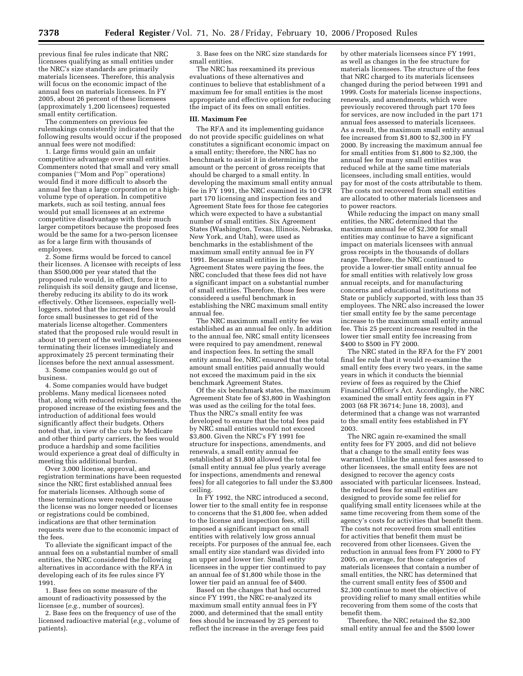previous final fee rules indicate that NRC licensees qualifying as small entities under the NRC's size standards are primarily materials licensees. Therefore, this analysis will focus on the economic impact of the annual fees on materials licensees. In FY 2005, about 26 percent of these licensees (approximately 1,200 licensees) requested small entity certification.

The commenters on previous fee rulemakings consistently indicated that the following results would occur if the proposed annual fees were not modified:

1. Large firms would gain an unfair competitive advantage over small entities. Commenters noted that small and very small companies (''Mom and Pop'' operations) would find it more difficult to absorb the annual fee than a large corporation or a highvolume type of operation. In competitive markets, such as soil testing, annual fees would put small licensees at an extreme competitive disadvantage with their much larger competitors because the proposed fees would be the same for a two-person licensee as for a large firm with thousands of employees.

2. Some firms would be forced to cancel their licenses. A licensee with receipts of less than \$500,000 per year stated that the proposed rule would, in effect, force it to relinquish its soil density gauge and license, thereby reducing its ability to do its work effectively. Other licensees, especially wellloggers, noted that the increased fees would force small businesses to get rid of the materials license altogether. Commenters stated that the proposed rule would result in about 10 percent of the well-logging licensees terminating their licenses immediately and approximately 25 percent terminating their licenses before the next annual assessment.

3. Some companies would go out of business.

4. Some companies would have budget problems. Many medical licensees noted that, along with reduced reimbursements, the proposed increase of the existing fees and the introduction of additional fees would significantly affect their budgets. Others noted that, in view of the cuts by Medicare and other third party carriers, the fees would produce a hardship and some facilities would experience a great deal of difficulty in meeting this additional burden.

Over 3,000 license, approval, and registration terminations have been requested since the NRC first established annual fees for materials licenses. Although some of these terminations were requested because the license was no longer needed or licenses or registrations could be combined, indications are that other termination requests were due to the economic impact of the fees.

To alleviate the significant impact of the annual fees on a substantial number of small entities, the NRC considered the following alternatives in accordance with the RFA in developing each of its fee rules since FY 1991.

1. Base fees on some measure of the amount of radioactivity possessed by the licensee (*e.g.*, number of sources).

2. Base fees on the frequency of use of the licensed radioactive material (*e.g.*, volume of patients).

3. Base fees on the NRC size standards for small entities.

The NRC has reexamined its previous evaluations of these alternatives and continues to believe that establishment of a maximum fee for small entities is the most appropriate and effective option for reducing the impact of its fees on small entities.

#### **III. Maximum Fee**

The RFA and its implementing guidance do not provide specific guidelines on what constitutes a significant economic impact on a small entity; therefore, the NRC has no benchmark to assist it in determining the amount or the percent of gross receipts that should be charged to a small entity. In developing the maximum small entity annual fee in FY 1991, the NRC examined its 10 CFR part 170 licensing and inspection fees and Agreement State fees for those fee categories which were expected to have a substantial number of small entities. Six Agreement States (Washington, Texas, Illinois, Nebraska, New York, and Utah), were used as benchmarks in the establishment of the maximum small entity annual fee in FY 1991. Because small entities in those Agreement States were paying the fees, the NRC concluded that these fees did not have a significant impact on a substantial number of small entities. Therefore, those fees were considered a useful benchmark in establishing the NRC maximum small entity annual fee.

The NRC maximum small entity fee was established as an annual fee only. In addition to the annual fee, NRC small entity licensees were required to pay amendment, renewal and inspection fees. In setting the small entity annual fee, NRC ensured that the total amount small entities paid annually would not exceed the maximum paid in the six benchmark Agreement States.

Of the six benchmark states, the maximum Agreement State fee of \$3,800 in Washington was used as the ceiling for the total fees. Thus the NRC's small entity fee was developed to ensure that the total fees paid by NRC small entities would not exceed \$3,800. Given the NRC's FY 1991 fee structure for inspections, amendments, and renewals, a small entity annual fee established at \$1,800 allowed the total fee (small entity annual fee plus yearly average for inspections, amendments and renewal fees) for all categories to fall under the \$3,800 ceiling.

In FY 1992, the NRC introduced a second, lower tier to the small entity fee in response to concerns that the \$1,800 fee, when added to the license and inspection fees, still imposed a significant impact on small entities with relatively low gross annual receipts. For purposes of the annual fee, each small entity size standard was divided into an upper and lower tier. Small entity licensees in the upper tier continued to pay an annual fee of \$1,800 while those in the lower tier paid an annual fee of \$400.

Based on the changes that had occurred since FY 1991, the NRC re-analyzed its maximum small entity annual fees in FY 2000, and determined that the small entity fees should be increased by 25 percent to reflect the increase in the average fees paid

by other materials licensees since FY 1991, as well as changes in the fee structure for materials licensees. The structure of the fees that NRC charged to its materials licensees changed during the period between 1991 and 1999. Costs for materials license inspections, renewals, and amendments, which were previously recovered through part 170 fees for services, are now included in the part 171 annual fees assessed to materials licensees. As a result, the maximum small entity annual fee increased from \$1,800 to \$2,300 in FY 2000. By increasing the maximum annual fee for small entities from \$1,800 to \$2,300, the annual fee for many small entities was reduced while at the same time materials licensees, including small entities, would pay for most of the costs attributable to them. The costs not recovered from small entities are allocated to other materials licensees and to power reactors.

While reducing the impact on many small entities, the NRC determined that the maximum annual fee of \$2,300 for small entities may continue to have a significant impact on materials licensees with annual gross receipts in the thousands of dollars range. Therefore, the NRC continued to provide a lower-tier small entity annual fee for small entities with relatively low gross annual receipts, and for manufacturing concerns and educational institutions not State or publicly supported, with less than 35 employees. The NRC also increased the lower tier small entity fee by the same percentage increase to the maximum small entity annual fee. This 25 percent increase resulted in the lower tier small entity fee increasing from \$400 to \$500 in FY 2000.

The NRC stated in the RFA for the FY 2001 final fee rule that it would re-examine the small entity fees every two years, in the same years in which it conducts the biennial review of fees as required by the Chief Financial Officer's Act. Accordingly, the NRC examined the small entity fees again in FY 2003 (68 FR 36714; June 18, 2003), and determined that a change was not warranted to the small entity fees established in FY 2003.

The NRC again re-examined the small entity fees for FY 2005, and did not believe that a change to the small entity fees was warranted. Unlike the annual fees assessed to other licensees, the small entity fees are not designed to recover the agency costs associated with particular licensees. Instead, the reduced fees for small entities are designed to provide some fee relief for qualifying small entity licensees while at the same time recovering from them some of the agency's costs for activities that benefit them. The costs not recovered from small entities for activities that benefit them must be recovered from other licensees. Given the reduction in annual fees from FY 2000 to FY 2005, on average, for those categories of materials licensees that contain a number of small entities, the NRC has determined that the current small entity fees of \$500 and \$2,300 continue to meet the objective of providing relief to many small entities while recovering from them some of the costs that benefit them.

Therefore, the NRC retained the \$2,300 small entity annual fee and the \$500 lower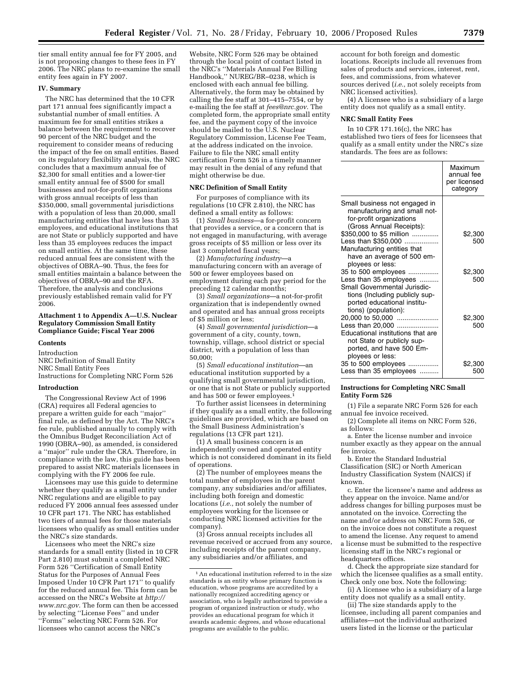tier small entity annual fee for FY 2005, and is not proposing changes to these fees in FY 2006. The NRC plans to re-examine the small entity fees again in FY 2007.

#### **IV. Summary**

The NRC has determined that the 10 CFR part 171 annual fees significantly impact a substantial number of small entities. A maximum fee for small entities strikes a balance between the requirement to recover 90 percent of the NRC budget and the requirement to consider means of reducing the impact of the fee on small entities. Based on its regulatory flexibility analysis, the NRC concludes that a maximum annual fee of \$2,300 for small entities and a lower-tier small entity annual fee of \$500 for small businesses and not-for-profit organizations with gross annual receipts of less than \$350,000, small governmental jurisdictions with a population of less than 20,000, small manufacturing entities that have less than 35 employees, and educational institutions that are not State or publicly supported and have less than 35 employees reduces the impact on small entities. At the same time, these reduced annual fees are consistent with the objectives of OBRA–90. Thus, the fees for small entities maintain a balance between the objectives of OBRA–90 and the RFA. Therefore, the analysis and conclusions previously established remain valid for FY 2006.

#### **Attachment 1 to Appendix A—U.S. Nuclear Regulatory Commission Small Entity Compliance Guide; Fiscal Year 2006**

#### **Contents**

Introduction NRC Definition of Small Entity NRC Small Entity Fees Instructions for Completing NRC Form 526

#### **Introduction**

The Congressional Review Act of 1996 (CRA) requires all Federal agencies to prepare a written guide for each ''major'' final rule, as defined by the Act. The NRC's fee rule, published annually to comply with the Omnibus Budget Reconciliation Act of 1990 (OBRA–90), as amended, is considered a ''major'' rule under the CRA. Therefore, in compliance with the law, this guide has been prepared to assist NRC materials licensees in complying with the FY 2006 fee rule.

Licensees may use this guide to determine whether they qualify as a small entity under NRC regulations and are eligible to pay reduced FY 2006 annual fees assessed under 10 CFR part 171. The NRC has established two tiers of annual fees for those materials licensees who qualify as small entities under the NRC's size standards.

Licensees who meet the NRC's size standards for a small entity (listed in 10 CFR Part 2.810) must submit a completed NRC Form 526 ''Certification of Small Entity Status for the Purposes of Annual Fees Imposed Under 10 CFR Part 171'' to qualify for the reduced annual fee. This form can be accessed on the NRC's Website at *http:// www.nrc.gov.* The form can then be accessed by selecting ''License Fees'' and under ''Forms'' selecting NRC Form 526. For licensees who cannot access the NRC's

Website, NRC Form 526 may be obtained through the local point of contact listed in the NRC's ''Materials Annual Fee Billing Handbook,'' NUREG/BR–0238, which is enclosed with each annual fee billing. Alternatively, the form may be obtained by calling the fee staff at 301–415–7554, or by e-mailing the fee staff at *fees@nrc.gov.* The completed form, the appropriate small entity fee, and the payment copy of the invoice should be mailed to the U.S. Nuclear Regulatory Commission, License Fee Team, at the address indicated on the invoice. Failure to file the NRC small entity certification Form 526 in a timely manner may result in the denial of any refund that might otherwise be due.

#### **NRC Definition of Small Entity**

For purposes of compliance with its regulations (10 CFR  $2.\overline{8}10$ ), the NRC has defined a small entity as follows:

(1) *Small business*—a for-profit concern that provides a service, or a concern that is not engaged in manufacturing, with average gross receipts of \$5 million or less over its last 3 completed fiscal years;

(2) *Manufacturing industry*—a manufacturing concern with an average of 500 or fewer employees based on employment during each pay period for the preceding 12 calendar months;

(3) *Small organizations*—a not-for-profit organization that is independently owned and operated and has annual gross receipts of \$5 million or less;

(4) *Small governmental jurisdiction*—a government of a city, county, town, township, village, school district or special district, with a population of less than 50,000;

(5) *Small educational institution*—an educational institution supported by a qualifying small governmental jurisdiction, or one that is not State or publicly supported and has 500 or fewer employees.1

To further assist licensees in determining if they qualify as a small entity, the following guidelines are provided, which are based on the Small Business Administration's regulations (13 CFR part 121).

(1) A small business concern is an independently owned and operated entity which is not considered dominant in its field of operations.

(2) The number of employees means the total number of employees in the parent company, any subsidiaries and/or affiliates, including both foreign and domestic locations (*i.e.*, not solely the number of employees working for the licensee or conducting NRC licensed activities for the company).

(3) Gross annual receipts includes all revenue received or accrued from any source, including receipts of the parent company, any subsidiaries and/or affiliates, and

account for both foreign and domestic locations. Receipts include all revenues from sales of products and services, interest, rent, fees, and commissions, from whatever sources derived (*i.e.*, not solely receipts from NRC licensed activities).

(4) A licensee who is a subsidiary of a large entity does not qualify as a small entity.

#### **NRC Small Entity Fees**

In 10 CFR 171.16(c), the NRC has established two tiers of fees for licensees that qualify as a small entity under the NRC's size standards. The fees are as follows:

|                                                                                                                                                                                                         | Maximum<br>annual fee<br>per licensed<br>category |
|---------------------------------------------------------------------------------------------------------------------------------------------------------------------------------------------------------|---------------------------------------------------|
| Small business not engaged in<br>manufacturing and small not-<br>for-profit organizations<br>(Gross Annual Receipts):<br>\$350,000 to \$5 million<br>Less than \$350,000<br>Manufacturing entities that | \$2,300<br>500                                    |
| have an average of 500 em-<br>ployees or less:<br>35 to 500 employees<br>Less than 35 employees<br>Small Governmental Jurisdic-<br>tions (Including publicly sup-                                       | \$2,300<br>500                                    |
| ported educational institu-<br>tions) (population):<br>20,000 to 50,000<br>Less than 20,000<br>Educational institutions that are<br>not State or publicly sup-                                          | \$2,300<br>500                                    |
| ported, and have 500 Em-<br>ployees or less:<br>35 to 500 employees<br>Less than 35 employees                                                                                                           | \$2,300<br>500                                    |

#### **Instructions for Completing NRC Small Entity Form 526**

(1) File a separate NRC Form 526 for each annual fee invoice received.

(2) Complete all items on NRC Form 526, as follows:

a. Enter the license number and invoice number exactly as they appear on the annual fee invoice.

b. Enter the Standard Industrial Classification (SIC) or North American Industry Classification System (NAICS) if known.

c. Enter the licensee's name and address as they appear on the invoice. Name and/or address changes for billing purposes must be annotated on the invoice. Correcting the name and/or address on NRC Form 526, or on the invoice does not constitute a request to amend the license. Any request to amend a license must be submitted to the respective licensing staff in the NRC's regional or headquarters offices.

d. Check the appropriate size standard for which the licensee qualifies as a small entity. Check only one box. Note the following:

(i) A licensee who is a subsidiary of a large entity does not qualify as a small entity.

(ii) The size standards apply to the licensee, including all parent companies and affiliates—not the individual authorized users listed in the license or the particular

 $^{\rm 1}\!$  An educational institution referred to in the size standards is an entity whose primary function is education, whose programs are accredited by a nationally recognized accrediting agency or association, who is legally authorized to provide a program of organized instruction or study, who provides an educational program for which it awards academic degrees, and whose educational programs are available to the public.